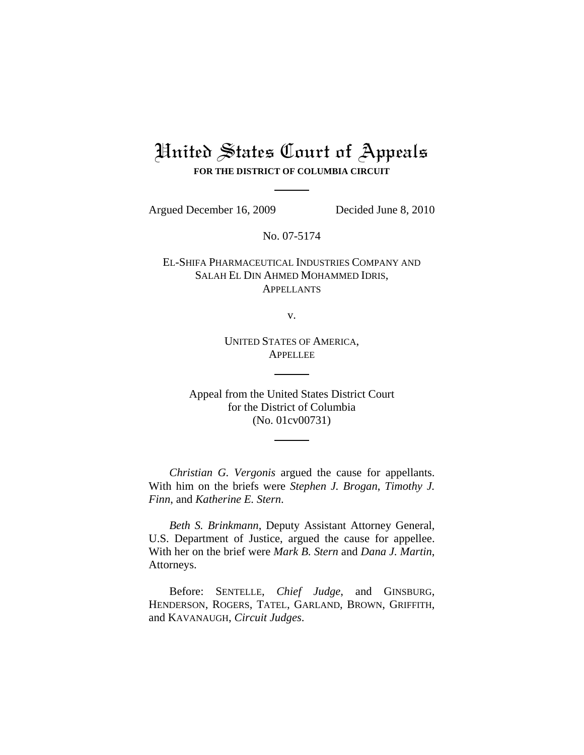# United States Court of Appeals **FOR THE DISTRICT OF COLUMBIA CIRCUIT**

Argued December 16, 2009 Decided June 8, 2010

No. 07-5174

EL-SHIFA PHARMACEUTICAL INDUSTRIES COMPANY AND SALAH EL DIN AHMED MOHAMMED IDRIS, **APPELLANTS** 

v.

UNITED STATES OF AMERICA, APPELLEE

Appeal from the United States District Court for the District of Columbia (No. 01cv00731)

*Christian G. Vergonis* argued the cause for appellants. With him on the briefs were *Stephen J. Brogan*, *Timothy J. Finn*, and *Katherine E. Stern*.

*Beth S. Brinkmann*, Deputy Assistant Attorney General, U.S. Department of Justice, argued the cause for appellee. With her on the brief were *Mark B. Stern* and *Dana J. Martin*, Attorneys.

Before: SENTELLE, *Chief Judge*, and GINSBURG, HENDERSON, ROGERS, TATEL, GARLAND, BROWN, GRIFFITH, and KAVANAUGH, *Circuit Judges*.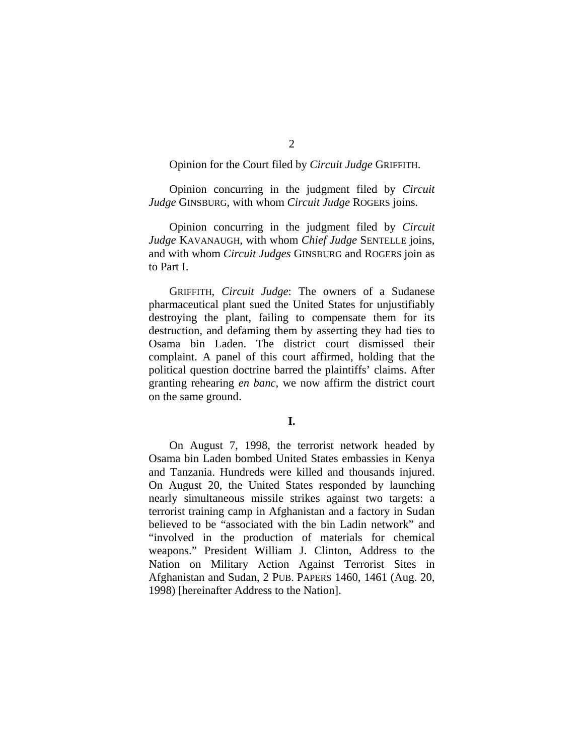# Opinion for the Court filed by *Circuit Judge* GRIFFITH.

Opinion concurring in the judgment filed by *Circuit Judge* GINSBURG, with whom *Circuit Judge* ROGERS joins.

Opinion concurring in the judgment filed by *Circuit Judge* KAVANAUGH, with whom *Chief Judge* SENTELLE joins, and with whom *Circuit Judges* GINSBURG and ROGERS join as to Part I.

GRIFFITH, *Circuit Judge*: The owners of a Sudanese pharmaceutical plant sued the United States for unjustifiably destroying the plant, failing to compensate them for its destruction, and defaming them by asserting they had ties to Osama bin Laden. The district court dismissed their complaint. A panel of this court affirmed, holding that the political question doctrine barred the plaintiffs' claims. After granting rehearing *en banc*, we now affirm the district court on the same ground.

# **I.**

On August 7, 1998, the terrorist network headed by Osama bin Laden bombed United States embassies in Kenya and Tanzania. Hundreds were killed and thousands injured. On August 20, the United States responded by launching nearly simultaneous missile strikes against two targets: a terrorist training camp in Afghanistan and a factory in Sudan believed to be "associated with the bin Ladin network" and "involved in the production of materials for chemical weapons." President William J. Clinton, Address to the Nation on Military Action Against Terrorist Sites in Afghanistan and Sudan, 2 PUB. PAPERS 1460, 1461 (Aug. 20, 1998) [hereinafter Address to the Nation].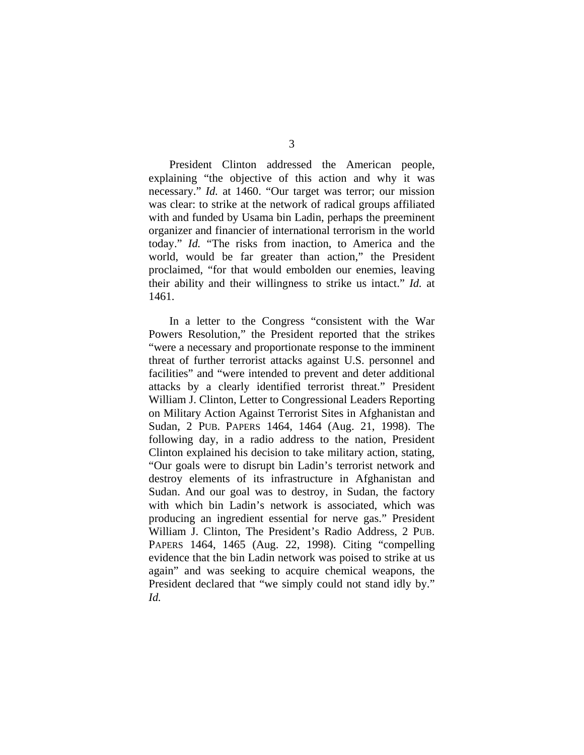President Clinton addressed the American people, explaining "the objective of this action and why it was necessary." *Id.* at 1460. "Our target was terror; our mission was clear: to strike at the network of radical groups affiliated with and funded by Usama bin Ladin, perhaps the preeminent organizer and financier of international terrorism in the world today." *Id.* "The risks from inaction, to America and the

world, would be far greater than action," the President proclaimed, "for that would embolden our enemies, leaving their ability and their willingness to strike us intact." *Id.* at 1461.

In a letter to the Congress "consistent with the War Powers Resolution," the President reported that the strikes "were a necessary and proportionate response to the imminent threat of further terrorist attacks against U.S. personnel and facilities" and "were intended to prevent and deter additional attacks by a clearly identified terrorist threat." President William J. Clinton, Letter to Congressional Leaders Reporting on Military Action Against Terrorist Sites in Afghanistan and Sudan, 2 PUB. PAPERS 1464, 1464 (Aug. 21, 1998). The following day, in a radio address to the nation, President Clinton explained his decision to take military action, stating, "Our goals were to disrupt bin Ladin's terrorist network and destroy elements of its infrastructure in Afghanistan and Sudan. And our goal was to destroy, in Sudan, the factory with which bin Ladin's network is associated, which was producing an ingredient essential for nerve gas." President William J. Clinton, The President's Radio Address, 2 PUB. PAPERS 1464, 1465 (Aug. 22, 1998). Citing "compelling evidence that the bin Ladin network was poised to strike at us again" and was seeking to acquire chemical weapons, the President declared that "we simply could not stand idly by." *Id.*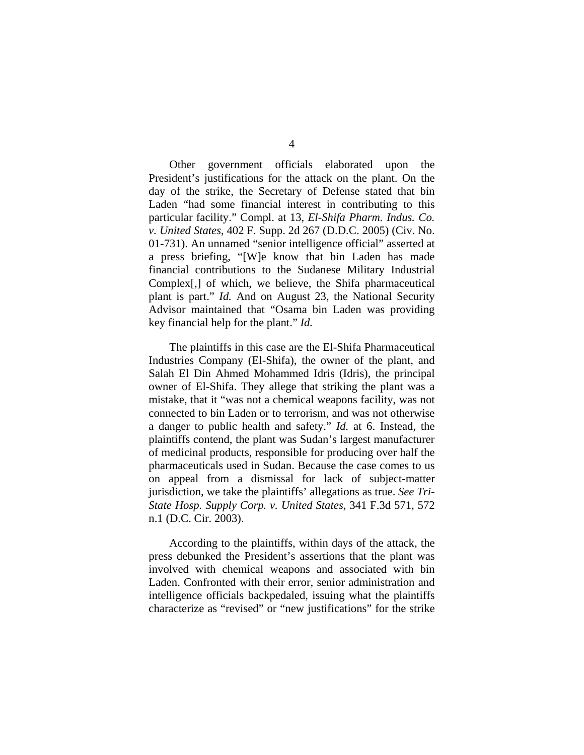Other government officials elaborated upon the President's justifications for the attack on the plant. On the day of the strike, the Secretary of Defense stated that bin Laden "had some financial interest in contributing to this particular facility." Compl. at 13, *El-Shifa Pharm. Indus. Co. v. United States*, 402 F. Supp. 2d 267 (D.D.C. 2005) (Civ. No. 01-731). An unnamed "senior intelligence official" asserted at a press briefing, "[W]e know that bin Laden has made financial contributions to the Sudanese Military Industrial Complex[,] of which, we believe, the Shifa pharmaceutical plant is part." *Id.* And on August 23, the National Security Advisor maintained that "Osama bin Laden was providing key financial help for the plant." *Id.*

The plaintiffs in this case are the El-Shifa Pharmaceutical Industries Company (El-Shifa), the owner of the plant, and Salah El Din Ahmed Mohammed Idris (Idris), the principal owner of El-Shifa. They allege that striking the plant was a mistake, that it "was not a chemical weapons facility, was not connected to bin Laden or to terrorism, and was not otherwise a danger to public health and safety." *Id.* at 6. Instead, the plaintiffs contend, the plant was Sudan's largest manufacturer of medicinal products, responsible for producing over half the pharmaceuticals used in Sudan. Because the case comes to us on appeal from a dismissal for lack of subject-matter jurisdiction, we take the plaintiffs' allegations as true. *See Tri-State Hosp. Supply Corp. v. United States*, 341 F.3d 571, 572 n.1 (D.C. Cir. 2003).

According to the plaintiffs, within days of the attack, the press debunked the President's assertions that the plant was involved with chemical weapons and associated with bin Laden. Confronted with their error, senior administration and intelligence officials backpedaled, issuing what the plaintiffs characterize as "revised" or "new justifications" for the strike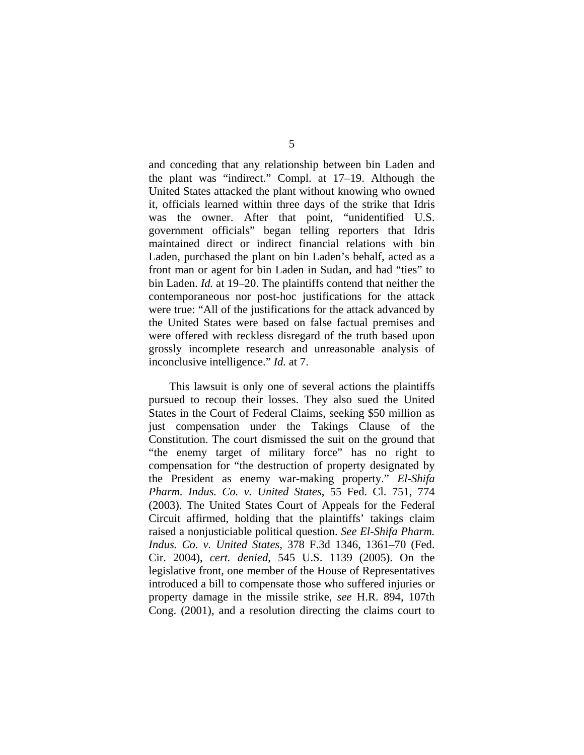and conceding that any relationship between bin Laden and the plant was "indirect." Compl. at 17–19. Although the United States attacked the plant without knowing who owned it, officials learned within three days of the strike that Idris was the owner. After that point, "unidentified U.S. government officials" began telling reporters that Idris maintained direct or indirect financial relations with bin Laden, purchased the plant on bin Laden's behalf, acted as a front man or agent for bin Laden in Sudan, and had "ties" to bin Laden. *Id.* at 19–20. The plaintiffs contend that neither the contemporaneous nor post-hoc justifications for the attack were true: "All of the justifications for the attack advanced by the United States were based on false factual premises and were offered with reckless disregard of the truth based upon grossly incomplete research and unreasonable analysis of inconclusive intelligence." *Id.* at 7.

This lawsuit is only one of several actions the plaintiffs pursued to recoup their losses. They also sued the United States in the Court of Federal Claims, seeking \$50 million as just compensation under the Takings Clause of the Constitution. The court dismissed the suit on the ground that "the enemy target of military force" has no right to compensation for "the destruction of property designated by the President as enemy war-making property." *El-Shifa Pharm. Indus. Co. v. United States*, 55 Fed. Cl. 751, 774 (2003). The United States Court of Appeals for the Federal Circuit affirmed, holding that the plaintiffs' takings claim raised a nonjusticiable political question. *See El-Shifa Pharm. Indus. Co. v. United States*, 378 F.3d 1346, 1361–70 (Fed. Cir. 2004), *cert. denied*, 545 U.S. 1139 (2005). On the legislative front, one member of the House of Representatives introduced a bill to compensate those who suffered injuries or property damage in the missile strike, *see* H.R. 894, 107th Cong. (2001), and a resolution directing the claims court to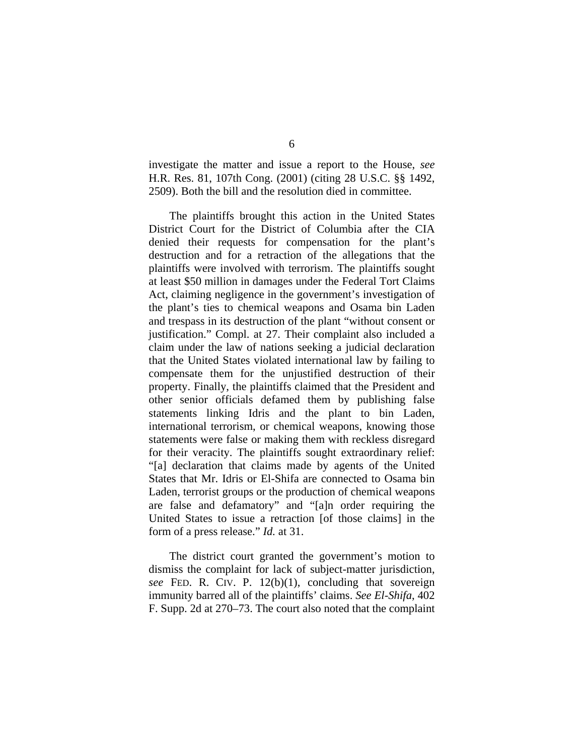investigate the matter and issue a report to the House, *see* H.R. Res. 81, 107th Cong. (2001) (citing 28 U.S.C. §§ 1492, 2509). Both the bill and the resolution died in committee.

The plaintiffs brought this action in the United States District Court for the District of Columbia after the CIA denied their requests for compensation for the plant's destruction and for a retraction of the allegations that the plaintiffs were involved with terrorism. The plaintiffs sought at least \$50 million in damages under the Federal Tort Claims Act, claiming negligence in the government's investigation of the plant's ties to chemical weapons and Osama bin Laden and trespass in its destruction of the plant "without consent or justification." Compl. at 27. Their complaint also included a claim under the law of nations seeking a judicial declaration that the United States violated international law by failing to compensate them for the unjustified destruction of their property. Finally, the plaintiffs claimed that the President and other senior officials defamed them by publishing false statements linking Idris and the plant to bin Laden, international terrorism, or chemical weapons, knowing those statements were false or making them with reckless disregard for their veracity. The plaintiffs sought extraordinary relief: "[a] declaration that claims made by agents of the United States that Mr. Idris or El-Shifa are connected to Osama bin Laden, terrorist groups or the production of chemical weapons are false and defamatory" and "[a]n order requiring the United States to issue a retraction [of those claims] in the form of a press release." *Id.* at 31.

The district court granted the government's motion to dismiss the complaint for lack of subject-matter jurisdiction, *see* FED. R. CIV. P. 12(b)(1), concluding that sovereign immunity barred all of the plaintiffs' claims. *See El-Shifa*, 402 F. Supp. 2d at 270–73. The court also noted that the complaint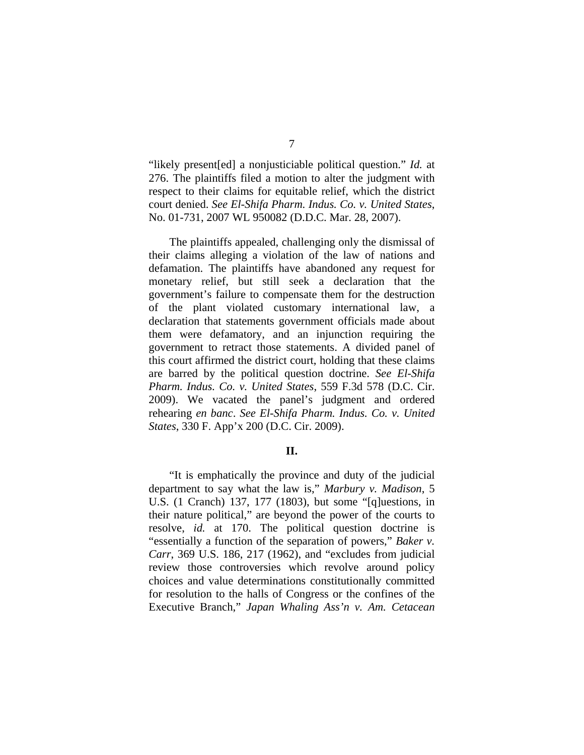"likely present[ed] a nonjusticiable political question." *Id.* at 276. The plaintiffs filed a motion to alter the judgment with respect to their claims for equitable relief, which the district court denied. *See El-Shifa Pharm. Indus. Co. v. United States*, No. 01-731, 2007 WL 950082 (D.D.C. Mar. 28, 2007).

The plaintiffs appealed, challenging only the dismissal of their claims alleging a violation of the law of nations and defamation. The plaintiffs have abandoned any request for monetary relief, but still seek a declaration that the government's failure to compensate them for the destruction of the plant violated customary international law, a declaration that statements government officials made about them were defamatory, and an injunction requiring the government to retract those statements. A divided panel of this court affirmed the district court, holding that these claims are barred by the political question doctrine. *See El-Shifa Pharm. Indus. Co. v. United States*, 559 F.3d 578 (D.C. Cir. 2009). We vacated the panel's judgment and ordered rehearing *en banc*. *See El-Shifa Pharm. Indus. Co. v. United States*, 330 F. App'x 200 (D.C. Cir. 2009).

### **II.**

"It is emphatically the province and duty of the judicial department to say what the law is," *Marbury v. Madison*, 5 U.S. (1 Cranch) 137, 177 (1803), but some "[q]uestions, in their nature political," are beyond the power of the courts to resolve, *id.* at 170. The political question doctrine is "essentially a function of the separation of powers," *Baker v. Carr*, 369 U.S. 186, 217 (1962), and "excludes from judicial review those controversies which revolve around policy choices and value determinations constitutionally committed for resolution to the halls of Congress or the confines of the Executive Branch," *Japan Whaling Ass'n v. Am. Cetacean*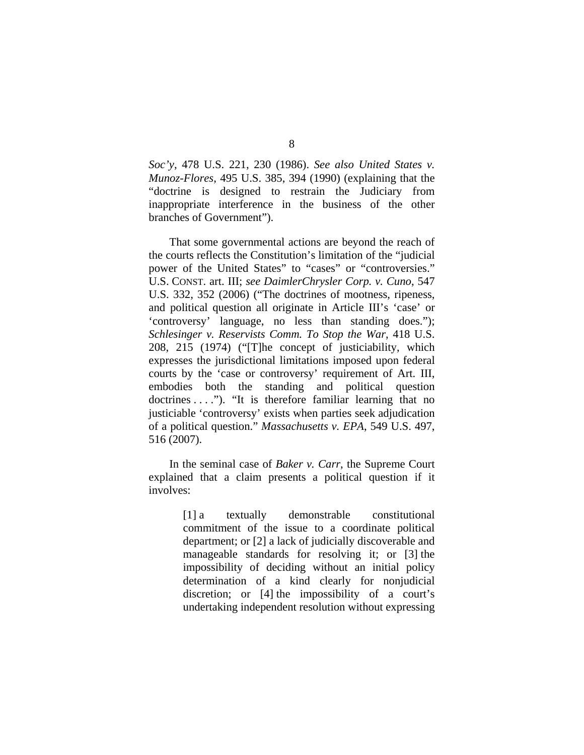*Soc'y*, 478 U.S. 221, 230 (1986). *See also United States v. Munoz-Flores*, 495 U.S. 385, 394 (1990) (explaining that the "doctrine is designed to restrain the Judiciary from inappropriate interference in the business of the other branches of Government").

That some governmental actions are beyond the reach of the courts reflects the Constitution's limitation of the "judicial power of the United States" to "cases" or "controversies." U.S. CONST. art. III; *see DaimlerChrysler Corp. v. Cuno*, 547 U.S. 332, 352 (2006) ("The doctrines of mootness, ripeness, and political question all originate in Article III's 'case' or 'controversy' language, no less than standing does."); *Schlesinger v. Reservists Comm. To Stop the War*, 418 U.S. 208, 215 (1974) ("[T]he concept of justiciability, which expresses the jurisdictional limitations imposed upon federal courts by the 'case or controversy' requirement of Art. III, embodies both the standing and political question doctrines . . . ."). "It is therefore familiar learning that no justiciable 'controversy' exists when parties seek adjudication of a political question." *Massachusetts v. EPA*, 549 U.S. 497, 516 (2007).

In the seminal case of *Baker v. Carr*, the Supreme Court explained that a claim presents a political question if it involves:

> [1] a textually demonstrable constitutional commitment of the issue to a coordinate political department; or [2] a lack of judicially discoverable and manageable standards for resolving it; or [3] the impossibility of deciding without an initial policy determination of a kind clearly for nonjudicial discretion; or [4] the impossibility of a court's undertaking independent resolution without expressing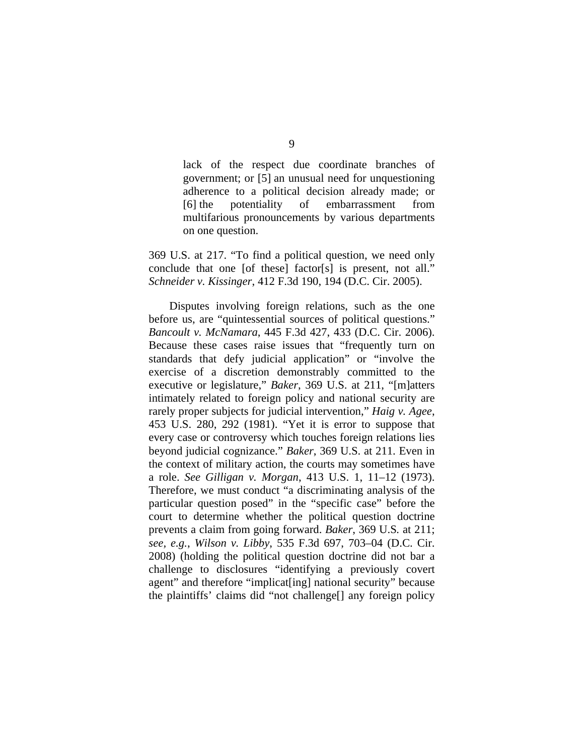lack of the respect due coordinate branches of government; or [5] an unusual need for unquestioning adherence to a political decision already made; or [6] the potentiality of embarrassment from multifarious pronouncements by various departments on one question.

369 U.S. at 217. "To find a political question, we need only conclude that one [of these] factor[s] is present, not all." *Schneider v. Kissinger*, 412 F.3d 190, 194 (D.C. Cir. 2005).

Disputes involving foreign relations, such as the one before us, are "quintessential sources of political questions." *Bancoult v. McNamara*, 445 F.3d 427, 433 (D.C. Cir. 2006). Because these cases raise issues that "frequently turn on standards that defy judicial application" or "involve the exercise of a discretion demonstrably committed to the executive or legislature," *Baker*, 369 U.S. at 211, "[m]atters intimately related to foreign policy and national security are rarely proper subjects for judicial intervention," *Haig v. Agee*, 453 U.S. 280, 292 (1981). "Yet it is error to suppose that every case or controversy which touches foreign relations lies beyond judicial cognizance." *Baker*, 369 U.S. at 211. Even in the context of military action, the courts may sometimes have a role. *See Gilligan v. Morgan*, 413 U.S. 1, 11–12 (1973). Therefore, we must conduct "a discriminating analysis of the particular question posed" in the "specific case" before the court to determine whether the political question doctrine prevents a claim from going forward. *Baker*, 369 U.S*.* at 211; *see, e.g.*, *Wilson v. Libby*, 535 F.3d 697, 703–04 (D.C. Cir. 2008) (holding the political question doctrine did not bar a challenge to disclosures "identifying a previously covert agent" and therefore "implicat[ing] national security" because the plaintiffs' claims did "not challenge[] any foreign policy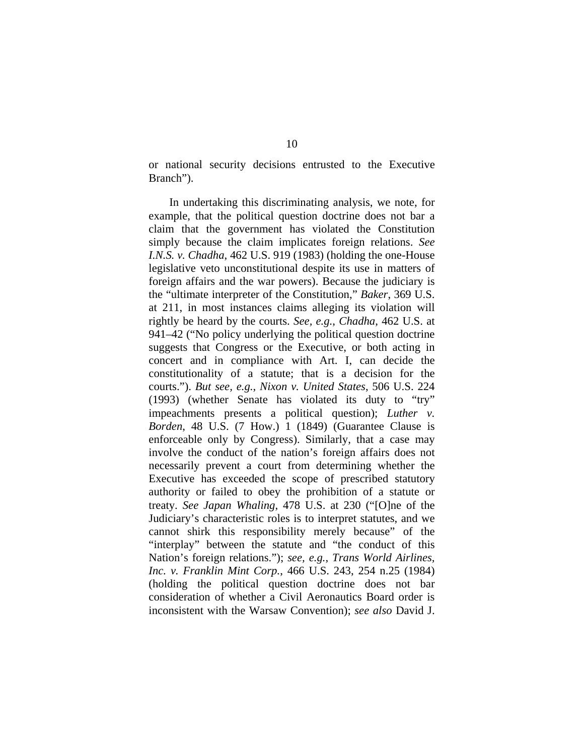or national security decisions entrusted to the Executive Branch").

In undertaking this discriminating analysis, we note, for example, that the political question doctrine does not bar a claim that the government has violated the Constitution simply because the claim implicates foreign relations. *See I.N.S. v. Chadha*, 462 U.S. 919 (1983) (holding the one-House legislative veto unconstitutional despite its use in matters of foreign affairs and the war powers). Because the judiciary is the "ultimate interpreter of the Constitution," *Baker*, 369 U.S. at 211, in most instances claims alleging its violation will rightly be heard by the courts. *See, e.g.*, *Chadha*, 462 U.S. at 941–42 ("No policy underlying the political question doctrine suggests that Congress or the Executive, or both acting in concert and in compliance with Art. I, can decide the constitutionality of a statute; that is a decision for the courts."). *But see, e.g.*, *Nixon v. United States*, 506 U.S. 224 (1993) (whether Senate has violated its duty to "try" impeachments presents a political question); *Luther v. Borden*, 48 U.S. (7 How.) 1 (1849) (Guarantee Clause is enforceable only by Congress). Similarly, that a case may involve the conduct of the nation's foreign affairs does not necessarily prevent a court from determining whether the Executive has exceeded the scope of prescribed statutory authority or failed to obey the prohibition of a statute or treaty. *See Japan Whaling*, 478 U.S. at 230 ("[O]ne of the Judiciary's characteristic roles is to interpret statutes, and we cannot shirk this responsibility merely because" of the "interplay" between the statute and "the conduct of this Nation's foreign relations."); *see, e.g.*, *Trans World Airlines, Inc. v. Franklin Mint Corp.*, 466 U.S. 243, 254 n.25 (1984) (holding the political question doctrine does not bar consideration of whether a Civil Aeronautics Board order is inconsistent with the Warsaw Convention); *see also* David J.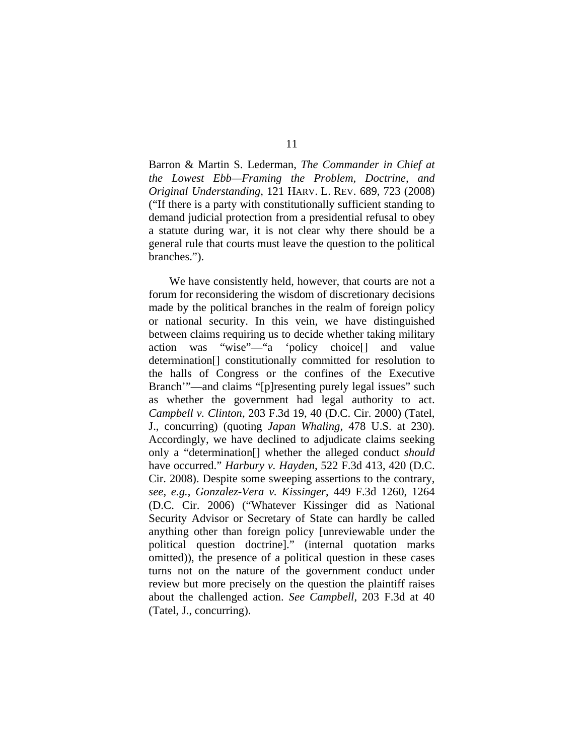Barron & Martin S. Lederman, *The Commander in Chief at the Lowest Ebb—Framing the Problem, Doctrine, and Original Understanding*, 121 HARV. L. REV. 689, 723 (2008) ("If there is a party with constitutionally sufficient standing to demand judicial protection from a presidential refusal to obey a statute during war, it is not clear why there should be a general rule that courts must leave the question to the political branches.").

We have consistently held, however, that courts are not a forum for reconsidering the wisdom of discretionary decisions made by the political branches in the realm of foreign policy or national security. In this vein, we have distinguished between claims requiring us to decide whether taking military action was "wise"—"a 'policy choice[] and value determination[] constitutionally committed for resolution to the halls of Congress or the confines of the Executive Branch'"—and claims "[p]resenting purely legal issues" such as whether the government had legal authority to act. *Campbell v. Clinton*, 203 F.3d 19, 40 (D.C. Cir. 2000) (Tatel, J., concurring) (quoting *Japan Whaling*, 478 U.S. at 230). Accordingly, we have declined to adjudicate claims seeking only a "determination[] whether the alleged conduct *should* have occurred." *Harbury v. Hayden*, 522 F.3d 413, 420 (D.C. Cir. 2008). Despite some sweeping assertions to the contrary, *see, e.g.*, *Gonzalez-Vera v. Kissinger*, 449 F.3d 1260, 1264 (D.C. Cir. 2006) ("Whatever Kissinger did as National Security Advisor or Secretary of State can hardly be called anything other than foreign policy [unreviewable under the political question doctrine]." (internal quotation marks omitted)), the presence of a political question in these cases turns not on the nature of the government conduct under review but more precisely on the question the plaintiff raises about the challenged action. *See Campbell*, 203 F.3d at 40 (Tatel, J., concurring).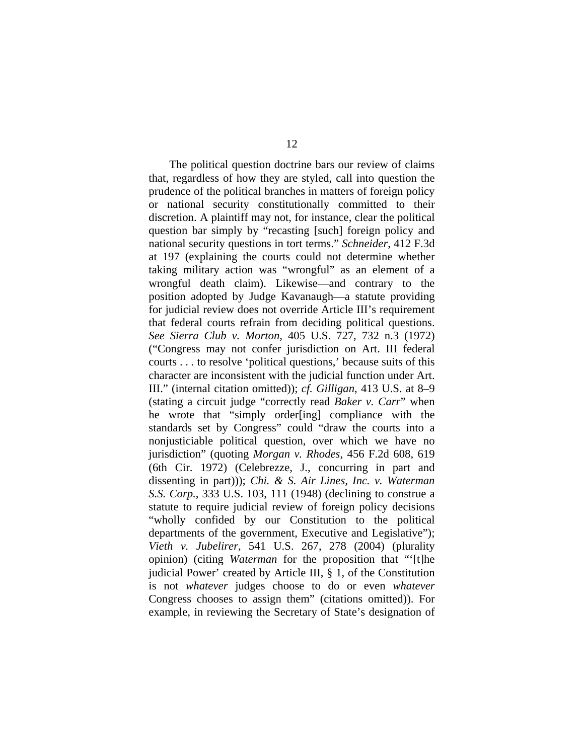The political question doctrine bars our review of claims that, regardless of how they are styled, call into question the prudence of the political branches in matters of foreign policy or national security constitutionally committed to their discretion. A plaintiff may not, for instance, clear the political question bar simply by "recasting [such] foreign policy and national security questions in tort terms." *Schneider*, 412 F.3d at 197 (explaining the courts could not determine whether taking military action was "wrongful" as an element of a wrongful death claim). Likewise—and contrary to the position adopted by Judge Kavanaugh—a statute providing for judicial review does not override Article III's requirement that federal courts refrain from deciding political questions. *See Sierra Club v. Morton*, 405 U.S. 727, 732 n.3 (1972) ("Congress may not confer jurisdiction on Art. III federal courts . . . to resolve 'political questions,' because suits of this character are inconsistent with the judicial function under Art. III." (internal citation omitted)); *cf. Gilligan*, 413 U.S. at 8–9 (stating a circuit judge "correctly read *Baker v. Carr*" when he wrote that "simply order[ing] compliance with the standards set by Congress" could "draw the courts into a nonjusticiable political question, over which we have no jurisdiction" (quoting *Morgan v. Rhodes*, 456 F.2d 608, 619 (6th Cir. 1972) (Celebrezze, J., concurring in part and dissenting in part))); *Chi. & S. Air Lines, Inc. v. Waterman S.S. Corp.*, 333 U.S. 103, 111 (1948) (declining to construe a statute to require judicial review of foreign policy decisions "wholly confided by our Constitution to the political departments of the government, Executive and Legislative"); *Vieth v. Jubelirer*, 541 U.S. 267, 278 (2004) (plurality opinion) (citing *Waterman* for the proposition that "'[t]he judicial Power' created by Article III, § 1, of the Constitution is not *whatever* judges choose to do or even *whatever* Congress chooses to assign them" (citations omitted)). For example, in reviewing the Secretary of State's designation of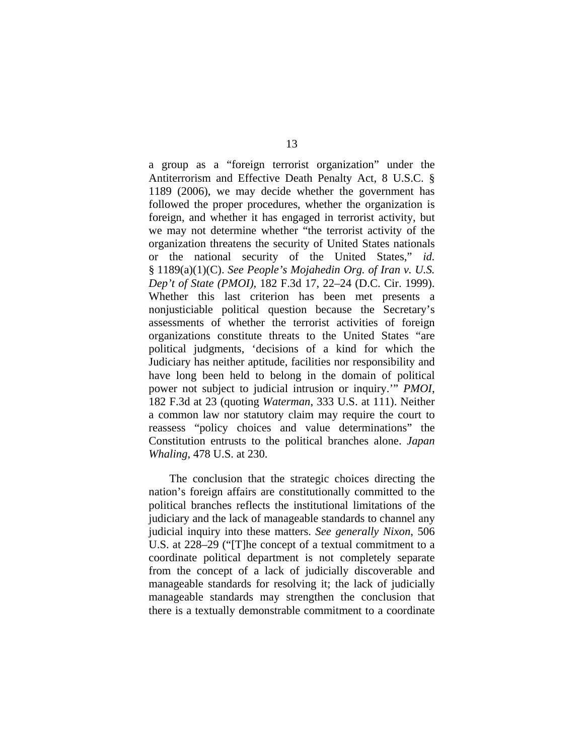a group as a "foreign terrorist organization" under the Antiterrorism and Effective Death Penalty Act, 8 U.S.C. § 1189 (2006), we may decide whether the government has followed the proper procedures, whether the organization is foreign, and whether it has engaged in terrorist activity, but we may not determine whether "the terrorist activity of the organization threatens the security of United States nationals or the national security of the United States," *id.* § 1189(a)(1)(C). *See People's Mojahedin Org. of Iran v. U.S. Dep't of State (PMOI)*, 182 F.3d 17, 22–24 (D.C. Cir. 1999). Whether this last criterion has been met presents a nonjusticiable political question because the Secretary's assessments of whether the terrorist activities of foreign organizations constitute threats to the United States "are political judgments, 'decisions of a kind for which the Judiciary has neither aptitude, facilities nor responsibility and have long been held to belong in the domain of political power not subject to judicial intrusion or inquiry.'" *PMOI*, 182 F.3d at 23 (quoting *Waterman*, 333 U.S. at 111). Neither a common law nor statutory claim may require the court to reassess "policy choices and value determinations" the Constitution entrusts to the political branches alone. *Japan Whaling*, 478 U.S. at 230.

The conclusion that the strategic choices directing the nation's foreign affairs are constitutionally committed to the political branches reflects the institutional limitations of the judiciary and the lack of manageable standards to channel any judicial inquiry into these matters. *See generally Nixon*, 506 U.S. at 228–29 ("[T]he concept of a textual commitment to a coordinate political department is not completely separate from the concept of a lack of judicially discoverable and manageable standards for resolving it; the lack of judicially manageable standards may strengthen the conclusion that there is a textually demonstrable commitment to a coordinate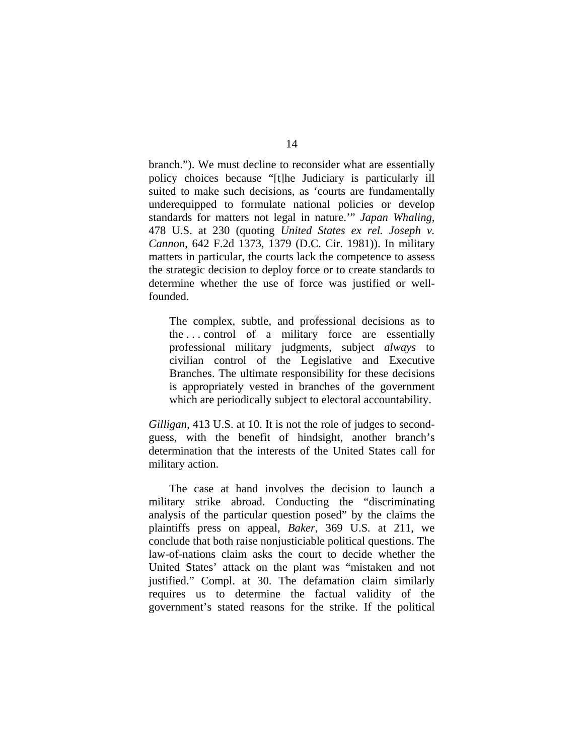branch."). We must decline to reconsider what are essentially policy choices because "[t]he Judiciary is particularly ill suited to make such decisions, as 'courts are fundamentally underequipped to formulate national policies or develop standards for matters not legal in nature.'" *Japan Whaling*, 478 U.S. at 230 (quoting *United States ex rel. Joseph v. Cannon*, 642 F.2d 1373, 1379 (D.C. Cir. 1981)). In military matters in particular, the courts lack the competence to assess the strategic decision to deploy force or to create standards to determine whether the use of force was justified or wellfounded.

The complex, subtle, and professional decisions as to the . . . control of a military force are essentially professional military judgments, subject *always* to civilian control of the Legislative and Executive Branches. The ultimate responsibility for these decisions is appropriately vested in branches of the government which are periodically subject to electoral accountability.

*Gilligan*, 413 U.S. at 10. It is not the role of judges to secondguess, with the benefit of hindsight, another branch's determination that the interests of the United States call for military action.

The case at hand involves the decision to launch a military strike abroad. Conducting the "discriminating analysis of the particular question posed" by the claims the plaintiffs press on appeal, *Baker*, 369 U.S*.* at 211, we conclude that both raise nonjusticiable political questions. The law-of-nations claim asks the court to decide whether the United States' attack on the plant was "mistaken and not justified." Compl. at 30. The defamation claim similarly requires us to determine the factual validity of the government's stated reasons for the strike. If the political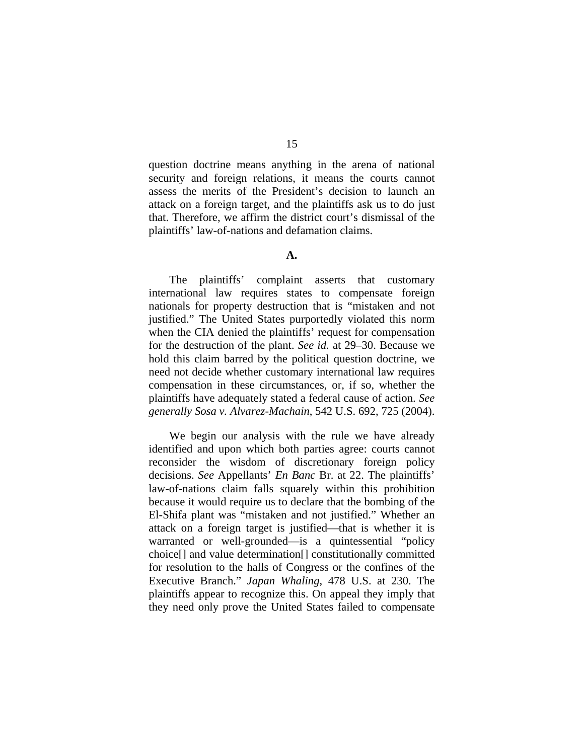question doctrine means anything in the arena of national security and foreign relations, it means the courts cannot assess the merits of the President's decision to launch an attack on a foreign target, and the plaintiffs ask us to do just that. Therefore, we affirm the district court's dismissal of the plaintiffs' law-of-nations and defamation claims.

### **A.**

The plaintiffs' complaint asserts that customary international law requires states to compensate foreign nationals for property destruction that is "mistaken and not justified." The United States purportedly violated this norm when the CIA denied the plaintiffs' request for compensation for the destruction of the plant. *See id.* at 29–30. Because we hold this claim barred by the political question doctrine, we need not decide whether customary international law requires compensation in these circumstances, or, if so, whether the plaintiffs have adequately stated a federal cause of action. *See generally Sosa v. Alvarez-Machain*, 542 U.S. 692, 725 (2004).

We begin our analysis with the rule we have already identified and upon which both parties agree: courts cannot reconsider the wisdom of discretionary foreign policy decisions. *See* Appellants' *En Banc* Br. at 22. The plaintiffs' law-of-nations claim falls squarely within this prohibition because it would require us to declare that the bombing of the El-Shifa plant was "mistaken and not justified." Whether an attack on a foreign target is justified—that is whether it is warranted or well-grounded—is a quintessential "policy choice[] and value determination[] constitutionally committed for resolution to the halls of Congress or the confines of the Executive Branch." *Japan Whaling*, 478 U.S. at 230. The plaintiffs appear to recognize this. On appeal they imply that they need only prove the United States failed to compensate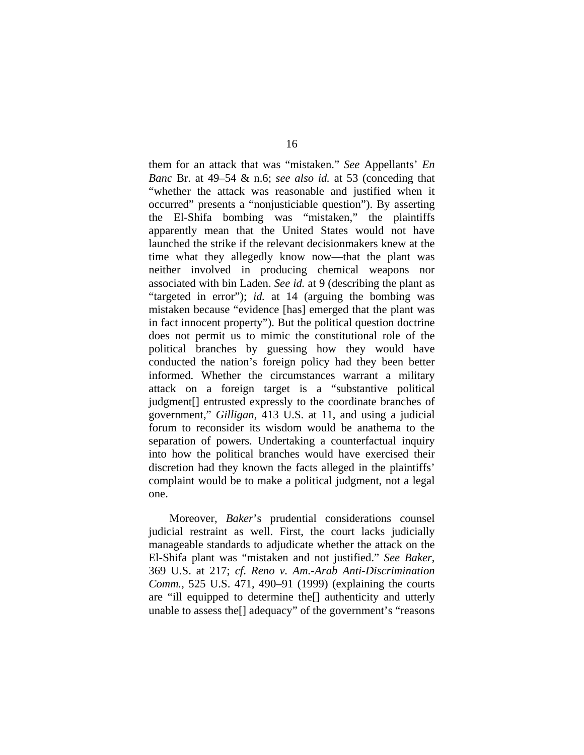them for an attack that was "mistaken." *See* Appellants' *En Banc* Br. at 49–54 & n.6; *see also id.* at 53 (conceding that "whether the attack was reasonable and justified when it occurred" presents a "nonjusticiable question"). By asserting the El-Shifa bombing was "mistaken," the plaintiffs apparently mean that the United States would not have launched the strike if the relevant decisionmakers knew at the time what they allegedly know now—that the plant was neither involved in producing chemical weapons nor associated with bin Laden. *See id.* at 9 (describing the plant as "targeted in error"); *id.* at 14 (arguing the bombing was mistaken because "evidence [has] emerged that the plant was in fact innocent property"). But the political question doctrine does not permit us to mimic the constitutional role of the political branches by guessing how they would have conducted the nation's foreign policy had they been better informed. Whether the circumstances warrant a military attack on a foreign target is a "substantive political judgment[] entrusted expressly to the coordinate branches of government," *Gilligan*, 413 U.S. at 11, and using a judicial forum to reconsider its wisdom would be anathema to the separation of powers. Undertaking a counterfactual inquiry into how the political branches would have exercised their discretion had they known the facts alleged in the plaintiffs' complaint would be to make a political judgment, not a legal one.

Moreover, *Baker*'s prudential considerations counsel judicial restraint as well. First, the court lacks judicially manageable standards to adjudicate whether the attack on the El-Shifa plant was "mistaken and not justified." *See Baker*, 369 U.S. at 217; *cf*. *Reno v. Am.-Arab Anti-Discrimination Comm.*, 525 U.S. 471, 490–91 (1999) (explaining the courts are "ill equipped to determine the[] authenticity and utterly unable to assess the[] adequacy" of the government's "reasons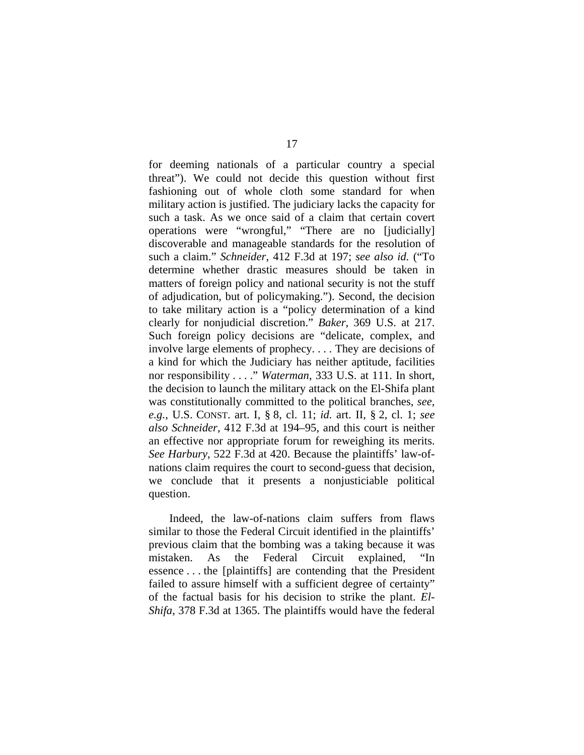for deeming nationals of a particular country a special threat"). We could not decide this question without first fashioning out of whole cloth some standard for when military action is justified. The judiciary lacks the capacity for such a task. As we once said of a claim that certain covert operations were "wrongful," "There are no [judicially] discoverable and manageable standards for the resolution of such a claim." *Schneider*, 412 F.3d at 197; *see also id.* ("To determine whether drastic measures should be taken in matters of foreign policy and national security is not the stuff of adjudication, but of policymaking."). Second, the decision to take military action is a "policy determination of a kind clearly for nonjudicial discretion." *Baker*, 369 U.S. at 217. Such foreign policy decisions are "delicate, complex, and involve large elements of prophecy. . . . They are decisions of a kind for which the Judiciary has neither aptitude, facilities nor responsibility . . . ." *Waterman*, 333 U.S. at 111. In short, the decision to launch the military attack on the El-Shifa plant was constitutionally committed to the political branches, *see, e.g.*, U.S. CONST. art. I, § 8, cl. 11; *id.* art. II, § 2, cl. 1; *see also Schneider*, 412 F.3d at 194–95, and this court is neither an effective nor appropriate forum for reweighing its merits. *See Harbury*, 522 F.3d at 420. Because the plaintiffs' law-ofnations claim requires the court to second-guess that decision, we conclude that it presents a nonjusticiable political question.

Indeed, the law-of-nations claim suffers from flaws similar to those the Federal Circuit identified in the plaintiffs' previous claim that the bombing was a taking because it was mistaken. As the Federal Circuit explained, "In essence . . . the [plaintiffs] are contending that the President failed to assure himself with a sufficient degree of certainty" of the factual basis for his decision to strike the plant. *El-Shifa*, 378 F.3d at 1365. The plaintiffs would have the federal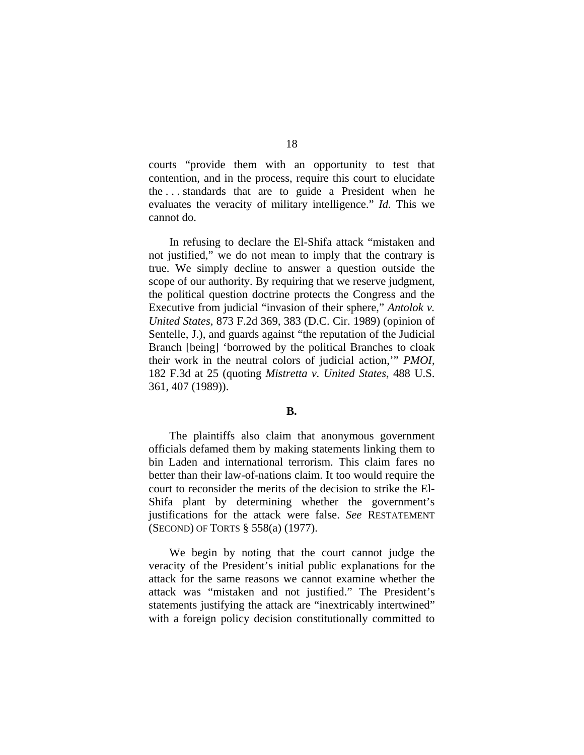courts "provide them with an opportunity to test that contention, and in the process, require this court to elucidate the . . . standards that are to guide a President when he evaluates the veracity of military intelligence." *Id.* This we cannot do.

In refusing to declare the El-Shifa attack "mistaken and not justified," we do not mean to imply that the contrary is true. We simply decline to answer a question outside the scope of our authority. By requiring that we reserve judgment, the political question doctrine protects the Congress and the Executive from judicial "invasion of their sphere," *Antolok v. United States*, 873 F.2d 369, 383 (D.C. Cir. 1989) (opinion of Sentelle, J.), and guards against "the reputation of the Judicial Branch [being] 'borrowed by the political Branches to cloak their work in the neutral colors of judicial action,'" *PMOI*, 182 F.3d at 25 (quoting *Mistretta v. United States*, 488 U.S. 361, 407 (1989)).

#### **B.**

The plaintiffs also claim that anonymous government officials defamed them by making statements linking them to bin Laden and international terrorism. This claim fares no better than their law-of-nations claim. It too would require the court to reconsider the merits of the decision to strike the El-Shifa plant by determining whether the government's justifications for the attack were false. *See* RESTATEMENT (SECOND) OF TORTS § 558(a) (1977).

We begin by noting that the court cannot judge the veracity of the President's initial public explanations for the attack for the same reasons we cannot examine whether the attack was "mistaken and not justified." The President's statements justifying the attack are "inextricably intertwined" with a foreign policy decision constitutionally committed to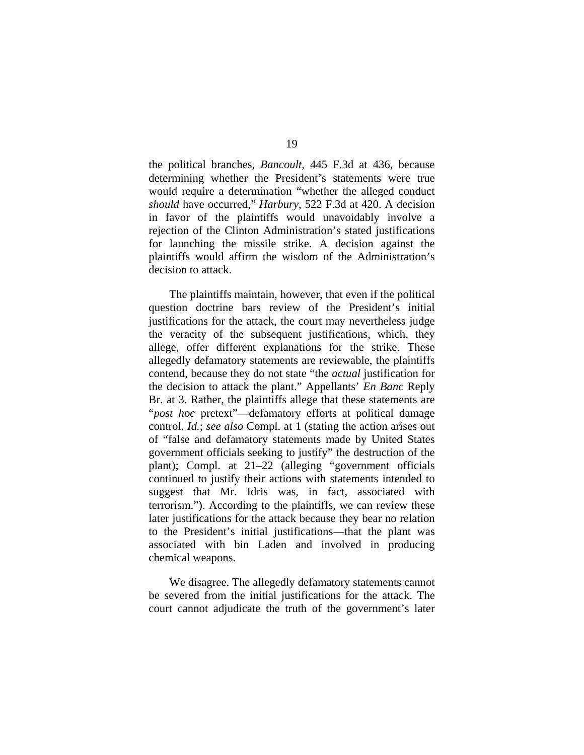the political branches, *Bancoult*, 445 F.3d at 436, because determining whether the President's statements were true would require a determination "whether the alleged conduct *should* have occurred," *Harbury*, 522 F.3d at 420. A decision in favor of the plaintiffs would unavoidably involve a rejection of the Clinton Administration's stated justifications for launching the missile strike. A decision against the plaintiffs would affirm the wisdom of the Administration's decision to attack.

The plaintiffs maintain, however, that even if the political question doctrine bars review of the President's initial justifications for the attack, the court may nevertheless judge the veracity of the subsequent justifications, which, they allege, offer different explanations for the strike. These allegedly defamatory statements are reviewable, the plaintiffs contend, because they do not state "the *actual* justification for the decision to attack the plant." Appellants' *En Banc* Reply Br. at 3. Rather, the plaintiffs allege that these statements are "*post hoc* pretext"—defamatory efforts at political damage control. *Id.*; *see also* Compl. at 1 (stating the action arises out of "false and defamatory statements made by United States government officials seeking to justify" the destruction of the plant); Compl. at 21–22 (alleging "government officials continued to justify their actions with statements intended to suggest that Mr. Idris was, in fact, associated with terrorism."). According to the plaintiffs, we can review these later justifications for the attack because they bear no relation to the President's initial justifications—that the plant was associated with bin Laden and involved in producing chemical weapons.

We disagree. The allegedly defamatory statements cannot be severed from the initial justifications for the attack. The court cannot adjudicate the truth of the government's later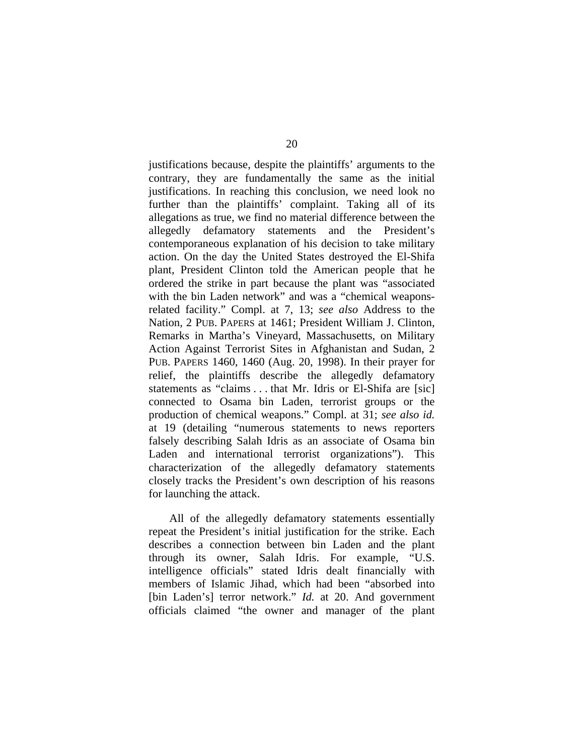justifications because, despite the plaintiffs' arguments to the contrary, they are fundamentally the same as the initial justifications. In reaching this conclusion, we need look no further than the plaintiffs' complaint. Taking all of its allegations as true, we find no material difference between the allegedly defamatory statements and the President's contemporaneous explanation of his decision to take military action. On the day the United States destroyed the El-Shifa plant, President Clinton told the American people that he ordered the strike in part because the plant was "associated with the bin Laden network" and was a "chemical weaponsrelated facility." Compl. at 7, 13; *see also* Address to the Nation, 2 PUB. PAPERS at 1461; President William J. Clinton, Remarks in Martha's Vineyard, Massachusetts, on Military Action Against Terrorist Sites in Afghanistan and Sudan, 2 PUB. PAPERS 1460, 1460 (Aug. 20, 1998). In their prayer for relief, the plaintiffs describe the allegedly defamatory statements as "claims . . . that Mr. Idris or El-Shifa are [sic] connected to Osama bin Laden, terrorist groups or the production of chemical weapons." Compl. at 31; *see also id.* at 19 (detailing "numerous statements to news reporters falsely describing Salah Idris as an associate of Osama bin Laden and international terrorist organizations"). This characterization of the allegedly defamatory statements closely tracks the President's own description of his reasons for launching the attack.

All of the allegedly defamatory statements essentially repeat the President's initial justification for the strike. Each describes a connection between bin Laden and the plant through its owner, Salah Idris. For example, "U.S. intelligence officials" stated Idris dealt financially with members of Islamic Jihad, which had been "absorbed into [bin Laden's] terror network." *Id.* at 20. And government officials claimed "the owner and manager of the plant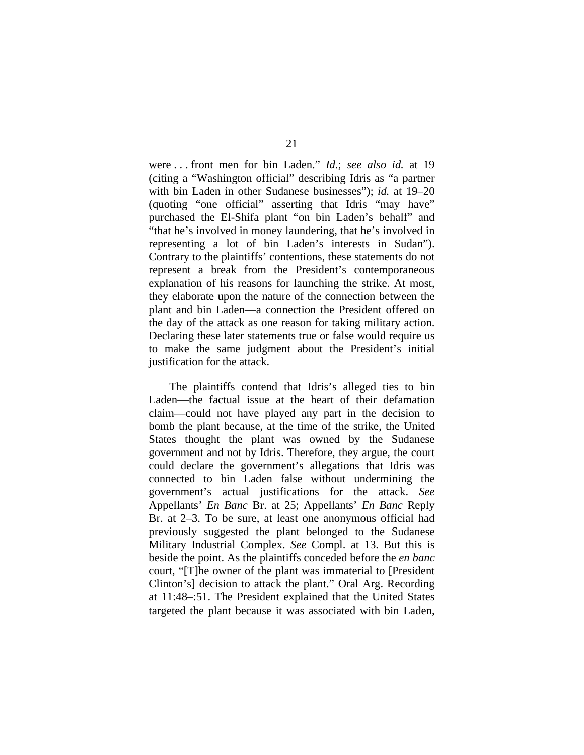were . . . front men for bin Laden." *Id.*; *see also id.* at 19 (citing a "Washington official" describing Idris as "a partner with bin Laden in other Sudanese businesses"); *id.* at 19–20 (quoting "one official" asserting that Idris "may have" purchased the El-Shifa plant "on bin Laden's behalf" and "that he's involved in money laundering, that he's involved in representing a lot of bin Laden's interests in Sudan"). Contrary to the plaintiffs' contentions, these statements do not represent a break from the President's contemporaneous explanation of his reasons for launching the strike. At most, they elaborate upon the nature of the connection between the plant and bin Laden—a connection the President offered on the day of the attack as one reason for taking military action. Declaring these later statements true or false would require us to make the same judgment about the President's initial justification for the attack.

The plaintiffs contend that Idris's alleged ties to bin Laden—the factual issue at the heart of their defamation claim—could not have played any part in the decision to bomb the plant because, at the time of the strike, the United States thought the plant was owned by the Sudanese government and not by Idris. Therefore, they argue, the court could declare the government's allegations that Idris was connected to bin Laden false without undermining the government's actual justifications for the attack. *See* Appellants' *En Banc* Br. at 25; Appellants' *En Banc* Reply Br. at 2–3. To be sure, at least one anonymous official had previously suggested the plant belonged to the Sudanese Military Industrial Complex. *See* Compl. at 13. But this is beside the point. As the plaintiffs conceded before the *en banc* court, "[T]he owner of the plant was immaterial to [President Clinton's] decision to attack the plant." Oral Arg. Recording at 11:48–:51. The President explained that the United States targeted the plant because it was associated with bin Laden,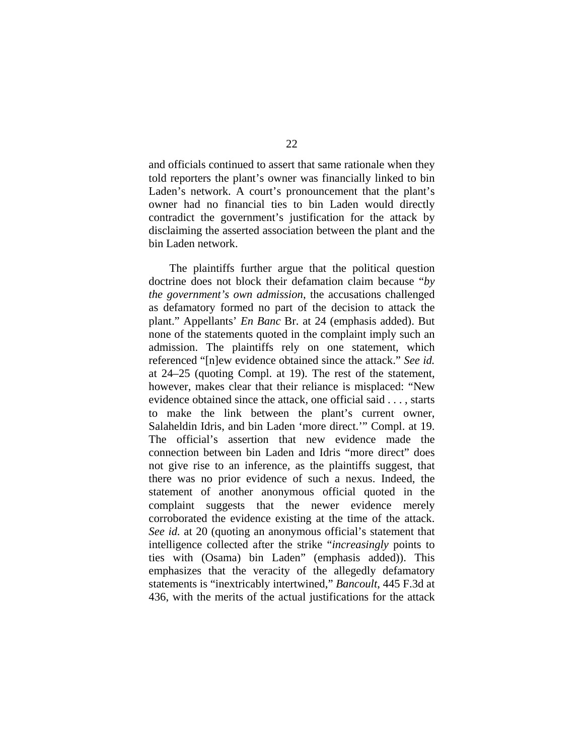and officials continued to assert that same rationale when they told reporters the plant's owner was financially linked to bin Laden's network. A court's pronouncement that the plant's owner had no financial ties to bin Laden would directly contradict the government's justification for the attack by disclaiming the asserted association between the plant and the bin Laden network.

The plaintiffs further argue that the political question doctrine does not block their defamation claim because "*by the government's own admission*, the accusations challenged as defamatory formed no part of the decision to attack the plant." Appellants' *En Banc* Br. at 24 (emphasis added). But none of the statements quoted in the complaint imply such an admission. The plaintiffs rely on one statement, which referenced "[n]ew evidence obtained since the attack." *See id.* at 24–25 (quoting Compl. at 19). The rest of the statement, however, makes clear that their reliance is misplaced: "New evidence obtained since the attack, one official said . . . , starts to make the link between the plant's current owner, Salaheldin Idris, and bin Laden 'more direct.'" Compl. at 19. The official's assertion that new evidence made the connection between bin Laden and Idris "more direct" does not give rise to an inference, as the plaintiffs suggest, that there was no prior evidence of such a nexus. Indeed, the statement of another anonymous official quoted in the complaint suggests that the newer evidence merely corroborated the evidence existing at the time of the attack. *See id.* at 20 (quoting an anonymous official's statement that intelligence collected after the strike "*increasingly* points to ties with (Osama) bin Laden" (emphasis added)). This emphasizes that the veracity of the allegedly defamatory statements is "inextricably intertwined," *Bancoult*, 445 F.3d at 436, with the merits of the actual justifications for the attack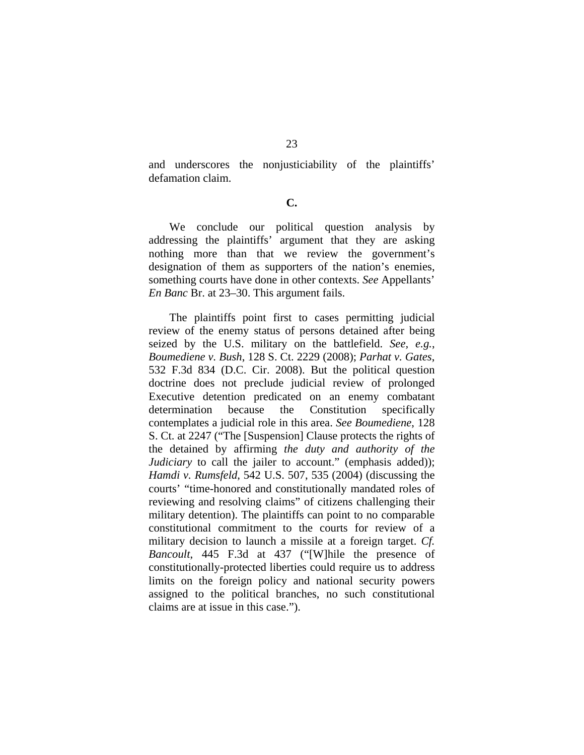and underscores the nonjusticiability of the plaintiffs' defamation claim.

**C.** 

 We conclude our political question analysis by addressing the plaintiffs' argument that they are asking nothing more than that we review the government's designation of them as supporters of the nation's enemies, something courts have done in other contexts. *See* Appellants' *En Banc* Br. at 23–30. This argument fails.

The plaintiffs point first to cases permitting judicial review of the enemy status of persons detained after being seized by the U.S. military on the battlefield. *See, e.g.*, *Boumediene v. Bush*, 128 S. Ct. 2229 (2008); *Parhat v. Gates*, 532 F.3d 834 (D.C. Cir. 2008). But the political question doctrine does not preclude judicial review of prolonged Executive detention predicated on an enemy combatant determination because the Constitution specifically contemplates a judicial role in this area. *See Boumediene*, 128 S. Ct. at 2247 ("The [Suspension] Clause protects the rights of the detained by affirming *the duty and authority of the Judiciary* to call the jailer to account." (emphasis added)); *Hamdi v. Rumsfeld*, 542 U.S. 507, 535 (2004) (discussing the courts' "time-honored and constitutionally mandated roles of reviewing and resolving claims" of citizens challenging their military detention). The plaintiffs can point to no comparable constitutional commitment to the courts for review of a military decision to launch a missile at a foreign target. *Cf. Bancoult*, 445 F.3d at 437 ("[W]hile the presence of constitutionally-protected liberties could require us to address limits on the foreign policy and national security powers assigned to the political branches, no such constitutional claims are at issue in this case.").

23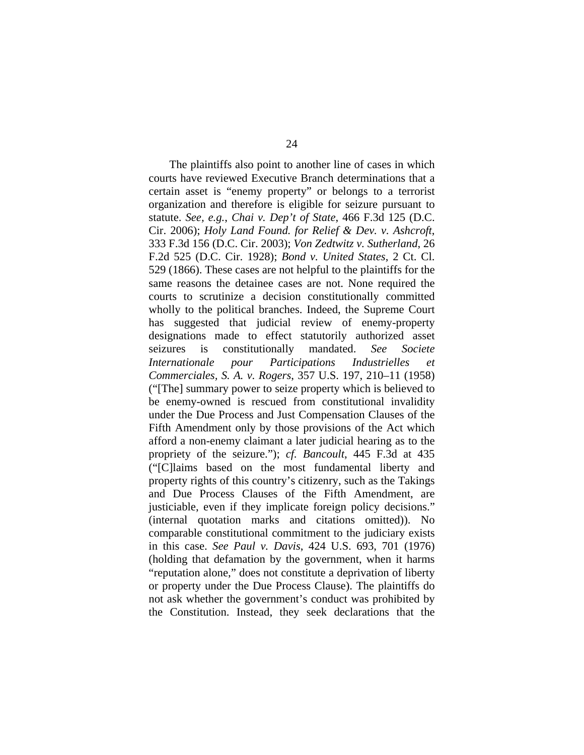The plaintiffs also point to another line of cases in which courts have reviewed Executive Branch determinations that a certain asset is "enemy property" or belongs to a terrorist organization and therefore is eligible for seizure pursuant to statute. *See, e.g.*, *Chai v. Dep't of State*, 466 F.3d 125 (D.C. Cir. 2006); *Holy Land Found. for Relief & Dev. v. Ashcroft*, 333 F.3d 156 (D.C. Cir. 2003); *Von Zedtwitz v. Sutherland*, 26 F.2d 525 (D.C. Cir. 1928); *Bond v. United States*, 2 Ct. Cl. 529 (1866). These cases are not helpful to the plaintiffs for the same reasons the detainee cases are not. None required the courts to scrutinize a decision constitutionally committed wholly to the political branches. Indeed, the Supreme Court has suggested that judicial review of enemy-property designations made to effect statutorily authorized asset seizures is constitutionally mandated. *See Societe Internationale pour Participations Industrielles et Commerciales, S. A. v. Rogers*, 357 U.S. 197, 210–11 (1958) ("[The] summary power to seize property which is believed to be enemy-owned is rescued from constitutional invalidity under the Due Process and Just Compensation Clauses of the Fifth Amendment only by those provisions of the Act which afford a non-enemy claimant a later judicial hearing as to the propriety of the seizure."); *cf. Bancoult*, 445 F.3d at 435 ("[C]laims based on the most fundamental liberty and property rights of this country's citizenry, such as the Takings and Due Process Clauses of the Fifth Amendment, are justiciable, even if they implicate foreign policy decisions." (internal quotation marks and citations omitted)). No comparable constitutional commitment to the judiciary exists in this case. *See Paul v. Davis*, 424 U.S. 693, 701 (1976) (holding that defamation by the government, when it harms "reputation alone," does not constitute a deprivation of liberty or property under the Due Process Clause). The plaintiffs do not ask whether the government's conduct was prohibited by the Constitution. Instead, they seek declarations that the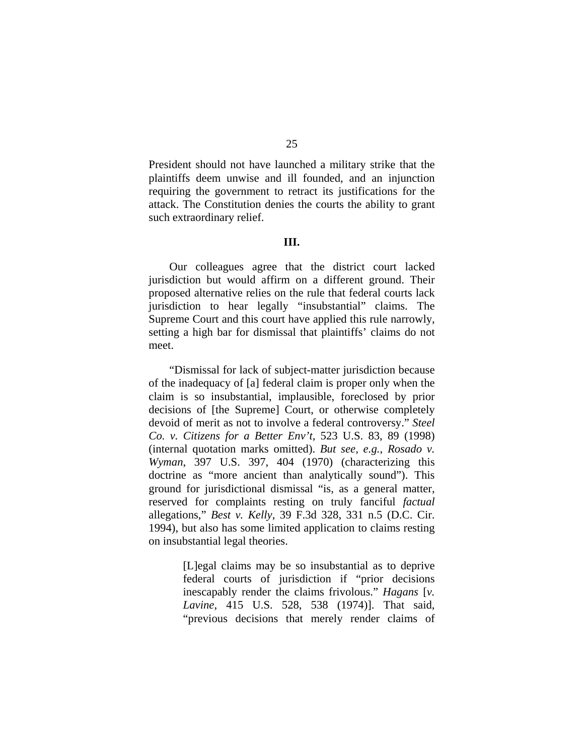President should not have launched a military strike that the plaintiffs deem unwise and ill founded, and an injunction requiring the government to retract its justifications for the attack. The Constitution denies the courts the ability to grant such extraordinary relief.

### **III.**

Our colleagues agree that the district court lacked jurisdiction but would affirm on a different ground. Their proposed alternative relies on the rule that federal courts lack jurisdiction to hear legally "insubstantial" claims. The Supreme Court and this court have applied this rule narrowly, setting a high bar for dismissal that plaintiffs' claims do not meet.

"Dismissal for lack of subject-matter jurisdiction because of the inadequacy of [a] federal claim is proper only when the claim is so insubstantial, implausible, foreclosed by prior decisions of [the Supreme] Court, or otherwise completely devoid of merit as not to involve a federal controversy." *Steel Co. v. Citizens for a Better Env't*, 523 U.S. 83, 89 (1998) (internal quotation marks omitted). *But see, e.g.*, *Rosado v. Wyman*, 397 U.S. 397, 404 (1970) (characterizing this doctrine as "more ancient than analytically sound"). This ground for jurisdictional dismissal "is, as a general matter, reserved for complaints resting on truly fanciful *factual* allegations," *Best v. Kelly*, 39 F.3d 328, 331 n.5 (D.C. Cir. 1994), but also has some limited application to claims resting on insubstantial legal theories.

> [L]egal claims may be so insubstantial as to deprive federal courts of jurisdiction if "prior decisions inescapably render the claims frivolous." *Hagans* [*v. Lavine*, 415 U.S. 528, 538 (1974)]. That said, "previous decisions that merely render claims of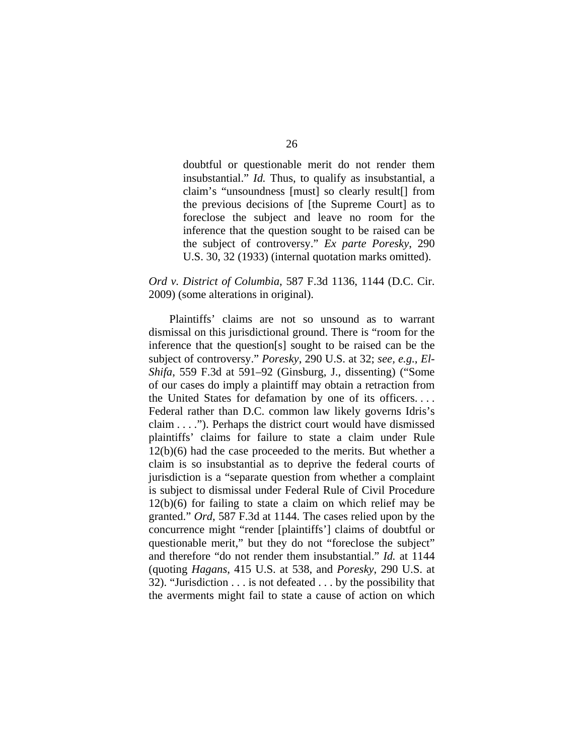doubtful or questionable merit do not render them insubstantial." *Id.* Thus, to qualify as insubstantial, a claim's "unsoundness [must] so clearly result[] from the previous decisions of [the Supreme Court] as to foreclose the subject and leave no room for the inference that the question sought to be raised can be the subject of controversy." *Ex parte Poresky*, 290 U.S. 30, 32 (1933) (internal quotation marks omitted).

# *Ord v. District of Columbia*, 587 F.3d 1136, 1144 (D.C. Cir. 2009) (some alterations in original).

Plaintiffs' claims are not so unsound as to warrant dismissal on this jurisdictional ground. There is "room for the inference that the question[s] sought to be raised can be the subject of controversy." *Poresky*, 290 U.S. at 32; *see, e.g.*, *El-Shifa*, 559 F.3d at 591–92 (Ginsburg, J., dissenting) ("Some of our cases do imply a plaintiff may obtain a retraction from the United States for defamation by one of its officers. . . . Federal rather than D.C. common law likely governs Idris's claim . . . ."). Perhaps the district court would have dismissed plaintiffs' claims for failure to state a claim under Rule 12(b)(6) had the case proceeded to the merits. But whether a claim is so insubstantial as to deprive the federal courts of jurisdiction is a "separate question from whether a complaint is subject to dismissal under Federal Rule of Civil Procedure 12(b)(6) for failing to state a claim on which relief may be granted." *Ord*, 587 F.3d at 1144. The cases relied upon by the concurrence might "render [plaintiffs'] claims of doubtful or questionable merit," but they do not "foreclose the subject" and therefore "do not render them insubstantial." *Id.* at 1144 (quoting *Hagans*, 415 U.S. at 538, and *Poresky*, 290 U.S. at 32). "Jurisdiction . . . is not defeated . . . by the possibility that the averments might fail to state a cause of action on which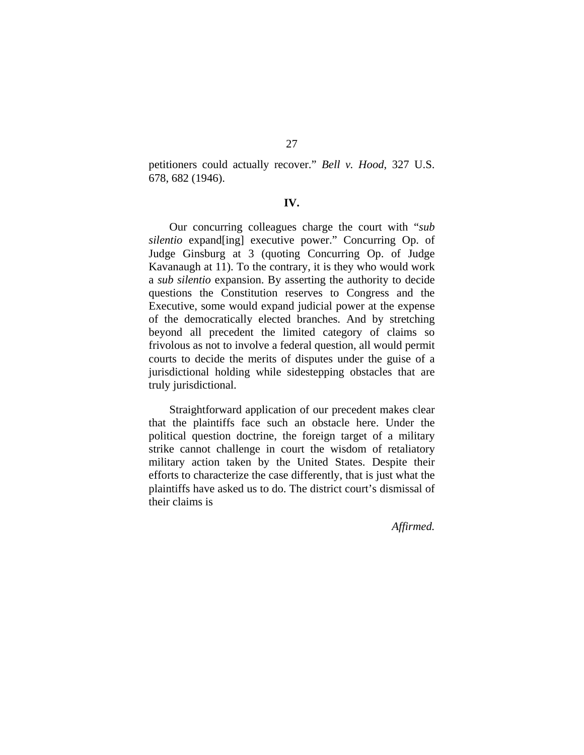petitioners could actually recover." *Bell v. Hood*, 327 U.S. 678, 682 (1946).

#### **IV.**

Our concurring colleagues charge the court with "*sub silentio* expand[ing] executive power." Concurring Op. of Judge Ginsburg at 3 (quoting Concurring Op. of Judge Kavanaugh at 11). To the contrary, it is they who would work a *sub silentio* expansion. By asserting the authority to decide questions the Constitution reserves to Congress and the Executive, some would expand judicial power at the expense of the democratically elected branches. And by stretching beyond all precedent the limited category of claims so frivolous as not to involve a federal question, all would permit courts to decide the merits of disputes under the guise of a jurisdictional holding while sidestepping obstacles that are truly jurisdictional.

Straightforward application of our precedent makes clear that the plaintiffs face such an obstacle here. Under the political question doctrine, the foreign target of a military strike cannot challenge in court the wisdom of retaliatory military action taken by the United States. Despite their efforts to characterize the case differently, that is just what the plaintiffs have asked us to do. The district court's dismissal of their claims is

*Affirmed.*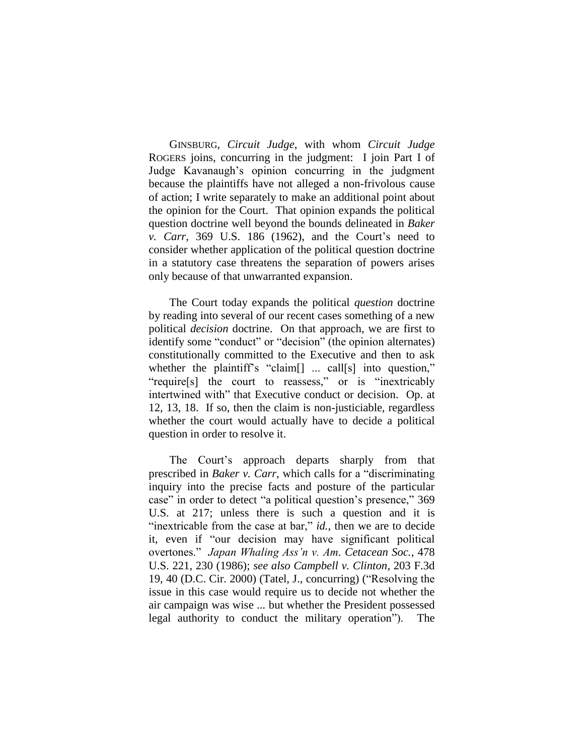GINSBURG, *Circuit Judge*, with whom *Circuit Judge*  ROGERS joins, concurring in the judgment: I join Part I of Judge Kavanaugh"s opinion concurring in the judgment because the plaintiffs have not alleged a non-frivolous cause of action; I write separately to make an additional point about the opinion for the Court. That opinion expands the political question doctrine well beyond the bounds delineated in *Baker v. Carr*, 369 U.S. 186 (1962), and the Court's need to consider whether application of the political question doctrine in a statutory case threatens the separation of powers arises only because of that unwarranted expansion.

The Court today expands the political *question* doctrine by reading into several of our recent cases something of a new political *decision* doctrine. On that approach, we are first to identify some "conduct" or "decision" (the opinion alternates) constitutionally committed to the Executive and then to ask whether the plaintiff's "claim<sup>[]</sup> ... call<sup>[s]</sup> into question," "require[s] the court to reassess," or is "inextricably intertwined with" that Executive conduct or decision. Op. at 12, 13, 18. If so, then the claim is non-justiciable, regardless whether the court would actually have to decide a political question in order to resolve it.

The Court's approach departs sharply from that prescribed in *Baker v. Carr*, which calls for a "discriminating inquiry into the precise facts and posture of the particular case" in order to detect "a political question"s presence," 369 U.S. at 217; unless there is such a question and it is "inextricable from the case at bar," *id.*, then we are to decide it, even if "our decision may have significant political overtones." *Japan Whaling Ass'n v. Am. Cetacean Soc.*, 478 U.S. 221, 230 (1986); *see also Campbell v. Clinton*, 203 F.3d 19, 40 (D.C. Cir. 2000) (Tatel, J., concurring) ("Resolving the issue in this case would require us to decide not whether the air campaign was wise ... but whether the President possessed legal authority to conduct the military operation"). The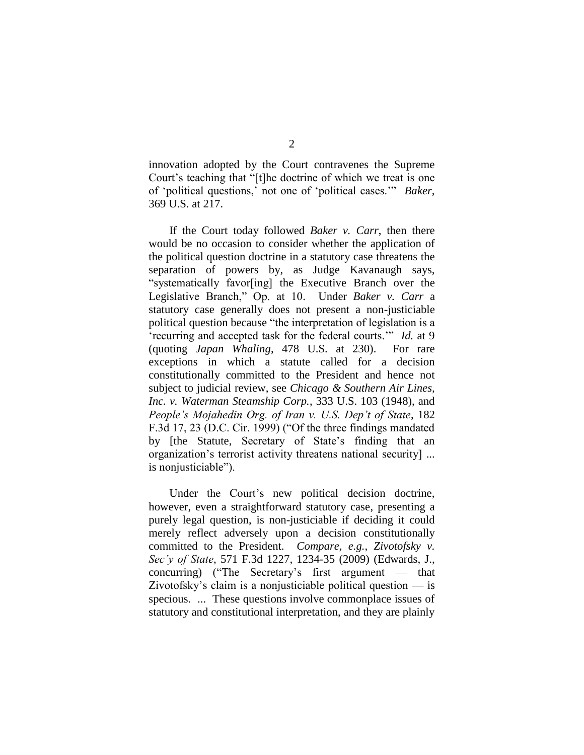innovation adopted by the Court contravenes the Supreme Court's teaching that "[t]he doctrine of which we treat is one of "political questions," not one of "political cases."" *Baker*, 369 U.S. at 217.

If the Court today followed *Baker v. Carr*, then there would be no occasion to consider whether the application of the political question doctrine in a statutory case threatens the separation of powers by, as Judge Kavanaugh says, "systematically favor[ing] the Executive Branch over the Legislative Branch," Op. at 10. Under *Baker v. Carr* a statutory case generally does not present a non-justiciable political question because "the interpretation of legislation is a "recurring and accepted task for the federal courts."" *Id.* at 9 (quoting *Japan Whaling*, 478 U.S. at 230). For rare exceptions in which a statute called for a decision constitutionally committed to the President and hence not subject to judicial review, see *Chicago & Southern Air Lines, Inc. v. Waterman Steamship Corp.*, 333 U.S. 103 (1948), and *People's Mojahedin Org. of Iran v. U.S. Dep't of State*, 182 F.3d 17, 23 (D.C. Cir. 1999) ("Of the three findings mandated by [the Statute, Secretary of State"s finding that an organization"s terrorist activity threatens national security] ... is nonjusticiable").

Under the Court's new political decision doctrine, however, even a straightforward statutory case, presenting a purely legal question, is non-justiciable if deciding it could merely reflect adversely upon a decision constitutionally committed to the President. *Compare, e.g.*, *Zivotofsky v. Sec'y of State*, 571 F.3d 1227, 1234-35 (2009) (Edwards, J., concurring) ("The Secretary's first argument  $-$  that Zivotofsky's claim is a nonjusticiable political question  $-\text{ is}$ specious. ... These questions involve commonplace issues of statutory and constitutional interpretation, and they are plainly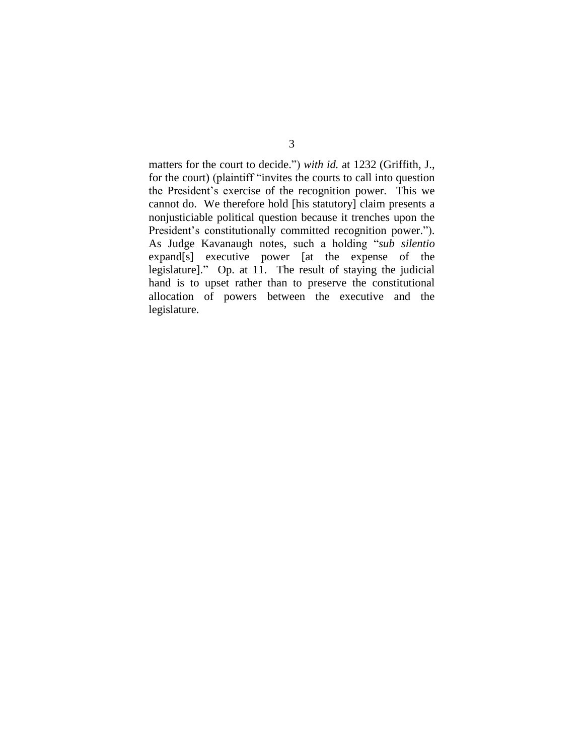matters for the court to decide.") *with id.* at 1232 (Griffith, J., for the court) (plaintiff "invites the courts to call into question the President"s exercise of the recognition power. This we cannot do. We therefore hold [his statutory] claim presents a nonjusticiable political question because it trenches upon the President's constitutionally committed recognition power."). As Judge Kavanaugh notes, such a holding "*sub silentio* expand[s] executive power [at the expense of the legislature]." Op. at 11. The result of staying the judicial hand is to upset rather than to preserve the constitutional allocation of powers between the executive and the legislature.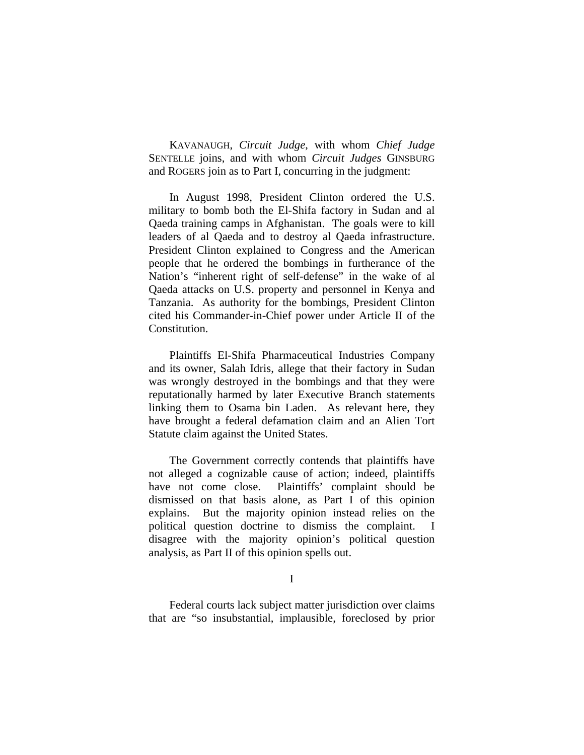KAVANAUGH, *Circuit Judge*, with whom *Chief Judge*  SENTELLE joins, and with whom *Circuit Judges* GINSBURG and ROGERS join as to Part I, concurring in the judgment:

 In August 1998, President Clinton ordered the U.S. military to bomb both the El-Shifa factory in Sudan and al Qaeda training camps in Afghanistan. The goals were to kill leaders of al Qaeda and to destroy al Qaeda infrastructure. President Clinton explained to Congress and the American people that he ordered the bombings in furtherance of the Nation's "inherent right of self-defense" in the wake of al Qaeda attacks on U.S. property and personnel in Kenya and Tanzania. As authority for the bombings, President Clinton cited his Commander-in-Chief power under Article II of the Constitution.

Plaintiffs El-Shifa Pharmaceutical Industries Company and its owner, Salah Idris, allege that their factory in Sudan was wrongly destroyed in the bombings and that they were reputationally harmed by later Executive Branch statements linking them to Osama bin Laden. As relevant here, they have brought a federal defamation claim and an Alien Tort Statute claim against the United States.

The Government correctly contends that plaintiffs have not alleged a cognizable cause of action; indeed, plaintiffs have not come close. Plaintiffs' complaint should be dismissed on that basis alone, as Part I of this opinion explains. But the majority opinion instead relies on the political question doctrine to dismiss the complaint. I disagree with the majority opinion's political question analysis, as Part II of this opinion spells out.

I

Federal courts lack subject matter jurisdiction over claims that are "so insubstantial, implausible, foreclosed by prior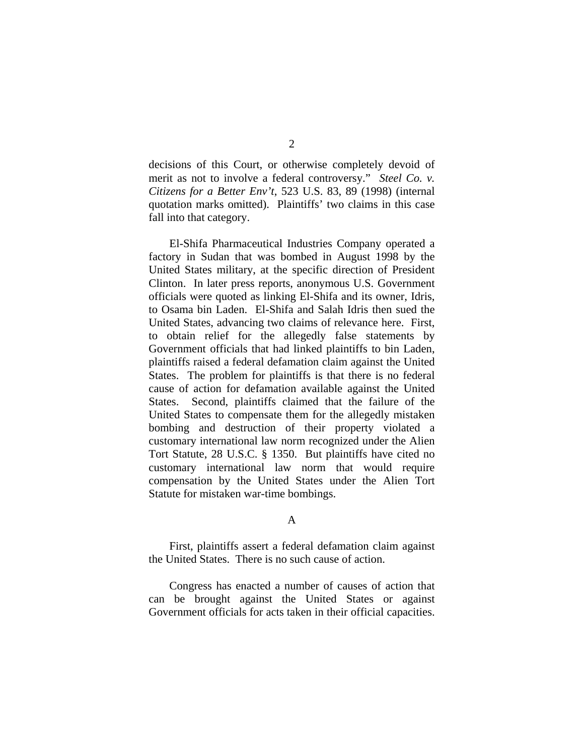decisions of this Court, or otherwise completely devoid of merit as not to involve a federal controversy." *Steel Co. v. Citizens for a Better Env't*, 523 U.S. 83, 89 (1998) (internal quotation marks omitted). Plaintiffs' two claims in this case fall into that category.

El-Shifa Pharmaceutical Industries Company operated a factory in Sudan that was bombed in August 1998 by the United States military, at the specific direction of President Clinton. In later press reports, anonymous U.S. Government officials were quoted as linking El-Shifa and its owner, Idris, to Osama bin Laden. El-Shifa and Salah Idris then sued the United States, advancing two claims of relevance here. First, to obtain relief for the allegedly false statements by Government officials that had linked plaintiffs to bin Laden, plaintiffs raised a federal defamation claim against the United States. The problem for plaintiffs is that there is no federal cause of action for defamation available against the United States. Second, plaintiffs claimed that the failure of the United States to compensate them for the allegedly mistaken bombing and destruction of their property violated a customary international law norm recognized under the Alien Tort Statute, 28 U.S.C. § 1350. But plaintiffs have cited no customary international law norm that would require compensation by the United States under the Alien Tort Statute for mistaken war-time bombings.

#### A

 First, plaintiffs assert a federal defamation claim against the United States. There is no such cause of action.

Congress has enacted a number of causes of action that can be brought against the United States or against Government officials for acts taken in their official capacities.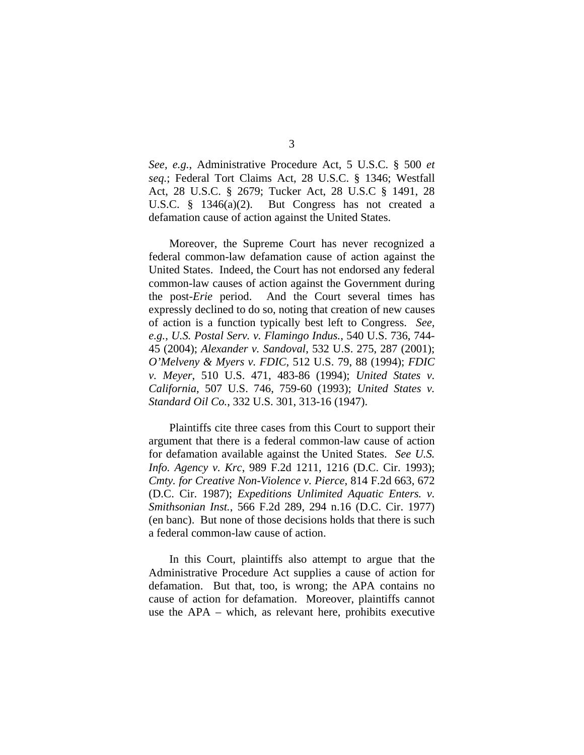*See, e.g.*, Administrative Procedure Act, 5 U.S.C. § 500 *et seq.*; Federal Tort Claims Act, 28 U.S.C. § 1346; Westfall Act, 28 U.S.C. § 2679; Tucker Act, 28 U.S.C § 1491, 28 U.S.C. § 1346(a)(2). But Congress has not created a defamation cause of action against the United States.

Moreover, the Supreme Court has never recognized a federal common-law defamation cause of action against the United States. Indeed, the Court has not endorsed any federal common-law causes of action against the Government during the post-*Erie* period. And the Court several times has expressly declined to do so, noting that creation of new causes of action is a function typically best left to Congress. *See, e.g.*, *U.S. Postal Serv. v. Flamingo Indus.*, 540 U.S. 736, 744- 45 (2004); *Alexander v. Sandoval*, 532 U.S. 275, 287 (2001); *O'Melveny & Myers v. FDIC*, 512 U.S. 79, 88 (1994); *FDIC v. Meyer*, 510 U.S. 471, 483-86 (1994); *United States v. California*, 507 U.S. 746, 759-60 (1993); *United States v. Standard Oil Co.*, 332 U.S. 301, 313-16 (1947).

Plaintiffs cite three cases from this Court to support their argument that there is a federal common-law cause of action for defamation available against the United States. *See U.S. Info. Agency v. Krc*, 989 F.2d 1211, 1216 (D.C. Cir. 1993); *Cmty. for Creative Non-Violence v. Pierce*, 814 F.2d 663, 672 (D.C. Cir. 1987); *Expeditions Unlimited Aquatic Enters. v. Smithsonian Inst.*, 566 F.2d 289, 294 n.16 (D.C. Cir. 1977) (en banc). But none of those decisions holds that there is such a federal common-law cause of action.

 In this Court, plaintiffs also attempt to argue that the Administrative Procedure Act supplies a cause of action for defamation. But that, too, is wrong; the APA contains no cause of action for defamation. Moreover, plaintiffs cannot use the APA – which, as relevant here, prohibits executive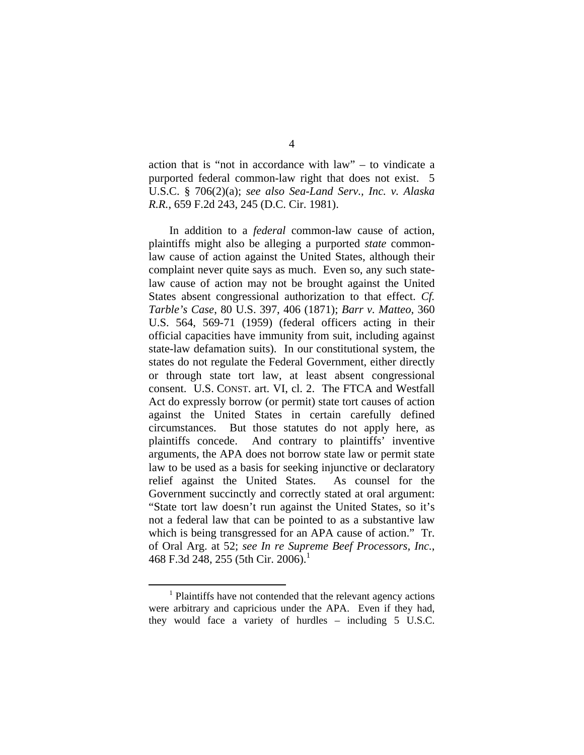action that is "not in accordance with law" – to vindicate a purported federal common-law right that does not exist. 5 U.S.C. § 706(2)(a); *see also Sea-Land Serv., Inc. v. Alaska R.R.*, 659 F.2d 243, 245 (D.C. Cir. 1981).

 In addition to a *federal* common-law cause of action, plaintiffs might also be alleging a purported *state* commonlaw cause of action against the United States, although their complaint never quite says as much. Even so, any such statelaw cause of action may not be brought against the United States absent congressional authorization to that effect. *Cf. Tarble's Case*, 80 U.S. 397, 406 (1871); *Barr v. Matteo*, 360 U.S. 564, 569-71 (1959) (federal officers acting in their official capacities have immunity from suit, including against state-law defamation suits). In our constitutional system, the states do not regulate the Federal Government, either directly or through state tort law, at least absent congressional consent. U.S. CONST. art. VI, cl. 2. The FTCA and Westfall Act do expressly borrow (or permit) state tort causes of action against the United States in certain carefully defined circumstances. But those statutes do not apply here, as plaintiffs concede. And contrary to plaintiffs' inventive arguments, the APA does not borrow state law or permit state law to be used as a basis for seeking injunctive or declaratory relief against the United States. As counsel for the Government succinctly and correctly stated at oral argument: "State tort law doesn't run against the United States, so it's not a federal law that can be pointed to as a substantive law which is being transgressed for an APA cause of action." Tr. of Oral Arg. at 52; *see In re Supreme Beef Processors, Inc.*, 468 F.3d 248, 255 (5th Cir. 2006).<sup>1</sup>

 $\frac{1}{1}$ <sup>1</sup> Plaintiffs have not contended that the relevant agency actions were arbitrary and capricious under the APA. Even if they had, they would face a variety of hurdles – including 5 U.S.C.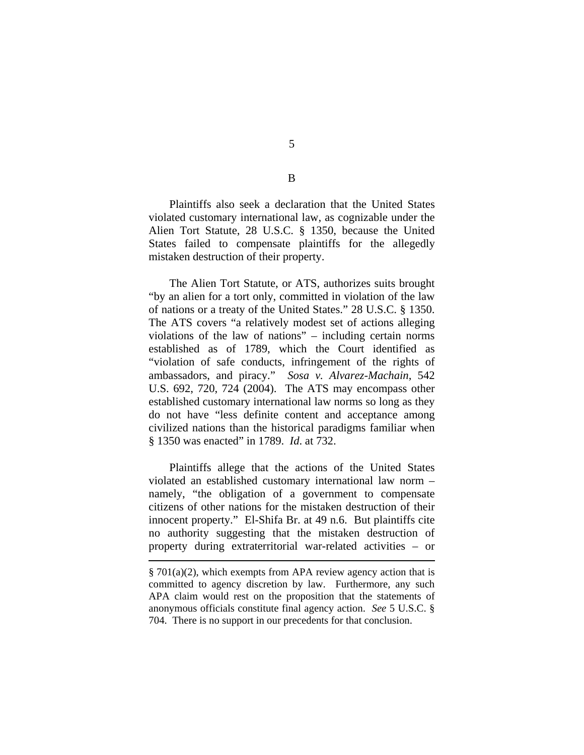Plaintiffs also seek a declaration that the United States violated customary international law, as cognizable under the Alien Tort Statute, 28 U.S.C. § 1350, because the United States failed to compensate plaintiffs for the allegedly mistaken destruction of their property.

The Alien Tort Statute, or ATS, authorizes suits brought "by an alien for a tort only, committed in violation of the law of nations or a treaty of the United States." 28 U.S.C. § 1350. The ATS covers "a relatively modest set of actions alleging violations of the law of nations" – including certain norms established as of 1789, which the Court identified as "violation of safe conducts, infringement of the rights of ambassadors, and piracy." *Sosa v. Alvarez-Machain*, 542 U.S. 692, 720, 724 (2004). The ATS may encompass other established customary international law norms so long as they do not have "less definite content and acceptance among civilized nations than the historical paradigms familiar when § 1350 was enacted" in 1789. *Id*. at 732.

 Plaintiffs allege that the actions of the United States violated an established customary international law norm – namely, "the obligation of a government to compensate citizens of other nations for the mistaken destruction of their innocent property." El-Shifa Br. at 49 n.6. But plaintiffs cite no authority suggesting that the mistaken destruction of property during extraterritorial war-related activities – or

 $\overline{a}$ 

5

B

 $§ 701(a)(2)$ , which exempts from APA review agency action that is committed to agency discretion by law. Furthermore, any such APA claim would rest on the proposition that the statements of anonymous officials constitute final agency action. *See* 5 U.S.C. § 704. There is no support in our precedents for that conclusion.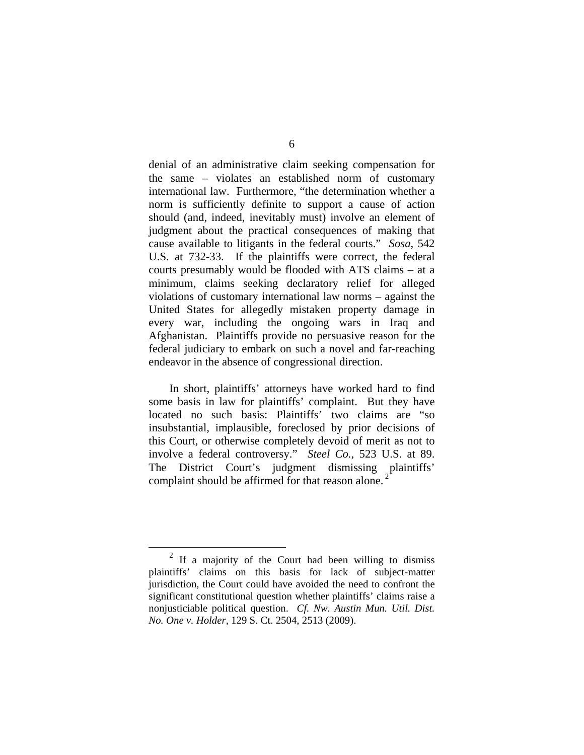denial of an administrative claim seeking compensation for the same – violates an established norm of customary international law. Furthermore, "the determination whether a norm is sufficiently definite to support a cause of action should (and, indeed, inevitably must) involve an element of judgment about the practical consequences of making that cause available to litigants in the federal courts." *Sosa*, 542 U.S. at 732-33. If the plaintiffs were correct, the federal courts presumably would be flooded with ATS claims – at a minimum, claims seeking declaratory relief for alleged violations of customary international law norms – against the United States for allegedly mistaken property damage in every war, including the ongoing wars in Iraq and Afghanistan. Plaintiffs provide no persuasive reason for the federal judiciary to embark on such a novel and far-reaching endeavor in the absence of congressional direction.

In short, plaintiffs' attorneys have worked hard to find some basis in law for plaintiffs' complaint. But they have located no such basis: Plaintiffs' two claims are "so insubstantial, implausible, foreclosed by prior decisions of this Court, or otherwise completely devoid of merit as not to involve a federal controversy." *Steel Co.*, 523 U.S. at 89. The District Court's judgment dismissing plaintiffs' complaint should be affirmed for that reason alone.

 <sup>2</sup> If a majority of the Court had been willing to dismiss plaintiffs' claims on this basis for lack of subject-matter jurisdiction, the Court could have avoided the need to confront the significant constitutional question whether plaintiffs' claims raise a nonjusticiable political question. *Cf. Nw. Austin Mun. Util. Dist. No. One v. Holder*, 129 S. Ct. 2504, 2513 (2009).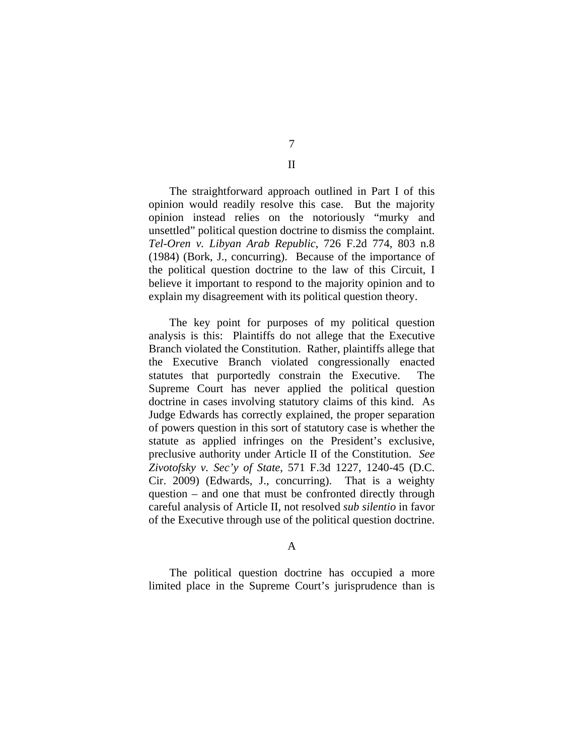The straightforward approach outlined in Part I of this opinion would readily resolve this case. But the majority opinion instead relies on the notoriously "murky and unsettled" political question doctrine to dismiss the complaint. *Tel-Oren v. Libyan Arab Republic*, 726 F.2d 774, 803 n.8 (1984) (Bork, J., concurring). Because of the importance of the political question doctrine to the law of this Circuit, I believe it important to respond to the majority opinion and to explain my disagreement with its political question theory.

The key point for purposes of my political question analysis is this: Plaintiffs do not allege that the Executive Branch violated the Constitution. Rather, plaintiffs allege that the Executive Branch violated congressionally enacted statutes that purportedly constrain the Executive. The Supreme Court has never applied the political question doctrine in cases involving statutory claims of this kind. As Judge Edwards has correctly explained, the proper separation of powers question in this sort of statutory case is whether the statute as applied infringes on the President's exclusive, preclusive authority under Article II of the Constitution. *See Zivotofsky v. Sec'y of State*, 571 F.3d 1227, 1240-45 (D.C. Cir. 2009) (Edwards, J., concurring). That is a weighty question – and one that must be confronted directly through careful analysis of Article II, not resolved *sub silentio* in favor of the Executive through use of the political question doctrine.

# A

The political question doctrine has occupied a more limited place in the Supreme Court's jurisprudence than is

7 II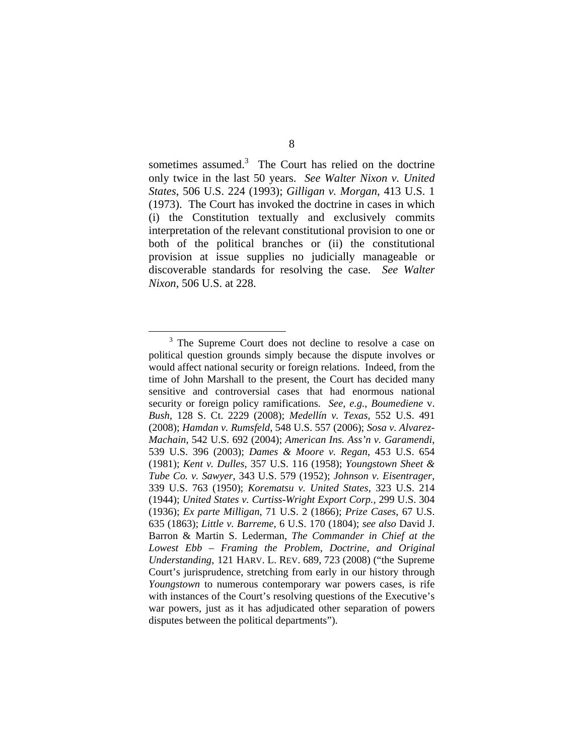sometimes assumed.<sup>3</sup> The Court has relied on the doctrine only twice in the last 50 years. *See Walter Nixon v. United States*, 506 U.S. 224 (1993); *Gilligan v. Morgan*, 413 U.S. 1 (1973). The Court has invoked the doctrine in cases in which (i) the Constitution textually and exclusively commits interpretation of the relevant constitutional provision to one or both of the political branches or (ii) the constitutional provision at issue supplies no judicially manageable or discoverable standards for resolving the case. *See Walter Nixon*, 506 U.S. at 228.

 $\frac{1}{3}$  $3$  The Supreme Court does not decline to resolve a case on political question grounds simply because the dispute involves or would affect national security or foreign relations. Indeed, from the time of John Marshall to the present, the Court has decided many sensitive and controversial cases that had enormous national security or foreign policy ramifications. *See, e.g.*, *Boumediene* v. *Bush*, 128 S. Ct. 2229 (2008); *Medellín v. Texas*, 552 U.S. 491 (2008); *Hamdan v. Rumsfeld*, 548 U.S. 557 (2006); *Sosa v. Alvarez-Machain*, 542 U.S. 692 (2004); *American Ins. Ass'n v. Garamendi*, 539 U.S. 396 (2003); *Dames & Moore v. Regan*, 453 U.S. 654 (1981); *Kent v. Dulles*, 357 U.S. 116 (1958); *Youngstown Sheet & Tube Co. v. Sawyer*, 343 U.S. 579 (1952); *Johnson v. Eisentrager*, 339 U.S. 763 (1950); *Korematsu v. United States*, 323 U.S. 214 (1944); *United States v. Curtiss-Wright Export Corp.*, 299 U.S. 304 (1936); *Ex parte Milligan*, 71 U.S. 2 (1866); *Prize Cases*, 67 U.S. 635 (1863); *Little v. Barreme*, 6 U.S. 170 (1804); *see also* David J. Barron & Martin S. Lederman, *The Commander in Chief at the Lowest Ebb – Framing the Problem, Doctrine, and Original Understanding*, 121 HARV. L. REV. 689, 723 (2008) ("the Supreme Court's jurisprudence, stretching from early in our history through *Youngstown* to numerous contemporary war powers cases, is rife with instances of the Court's resolving questions of the Executive's war powers, just as it has adjudicated other separation of powers disputes between the political departments").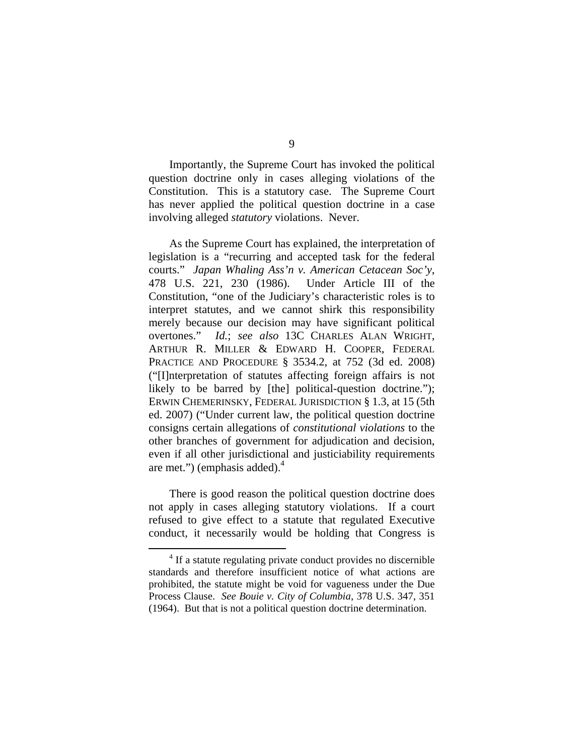Importantly, the Supreme Court has invoked the political question doctrine only in cases alleging violations of the Constitution. This is a statutory case. The Supreme Court has never applied the political question doctrine in a case involving alleged *statutory* violations. Never.

As the Supreme Court has explained, the interpretation of legislation is a "recurring and accepted task for the federal courts." *Japan Whaling Ass'n v. American Cetacean Soc'y*, 478 U.S. 221, 230 (1986). Under Article III of the Constitution, "one of the Judiciary's characteristic roles is to interpret statutes, and we cannot shirk this responsibility merely because our decision may have significant political overtones." *Id.*; *see also* 13C CHARLES ALAN WRIGHT, ARTHUR R. MILLER & EDWARD H. COOPER, FEDERAL PRACTICE AND PROCEDURE § 3534.2, at 752 (3d ed. 2008) ("[I]nterpretation of statutes affecting foreign affairs is not likely to be barred by [the] political-question doctrine."); ERWIN CHEMERINSKY, FEDERAL JURISDICTION § 1.3, at 15 (5th ed. 2007) ("Under current law, the political question doctrine consigns certain allegations of *constitutional violations* to the other branches of government for adjudication and decision, even if all other jurisdictional and justiciability requirements are met.") (emphasis added). $4$ 

There is good reason the political question doctrine does not apply in cases alleging statutory violations. If a court refused to give effect to a statute that regulated Executive conduct, it necessarily would be holding that Congress is

 $\overline{4}$ <sup>4</sup> If a statute regulating private conduct provides no discernible standards and therefore insufficient notice of what actions are prohibited, the statute might be void for vagueness under the Due Process Clause. *See Bouie v. City of Columbia*, 378 U.S. 347, 351 (1964). But that is not a political question doctrine determination.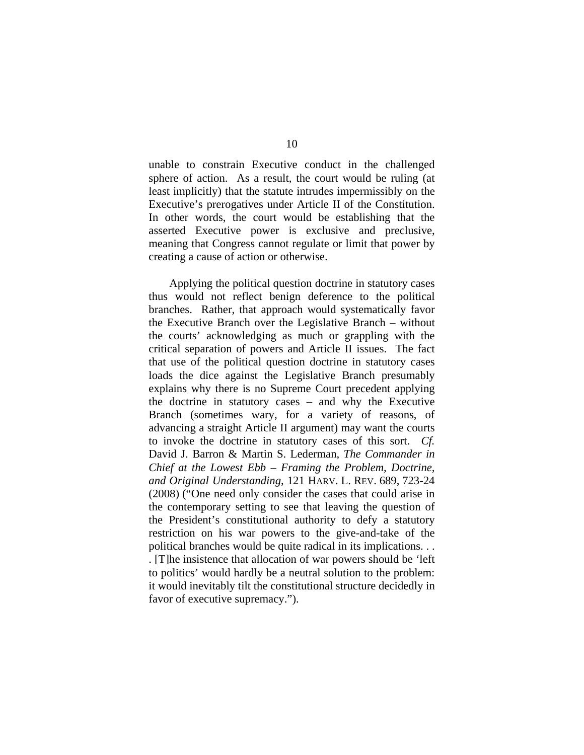unable to constrain Executive conduct in the challenged sphere of action. As a result, the court would be ruling (at least implicitly) that the statute intrudes impermissibly on the Executive's prerogatives under Article II of the Constitution. In other words, the court would be establishing that the asserted Executive power is exclusive and preclusive, meaning that Congress cannot regulate or limit that power by creating a cause of action or otherwise.

Applying the political question doctrine in statutory cases thus would not reflect benign deference to the political branches. Rather, that approach would systematically favor the Executive Branch over the Legislative Branch – without the courts' acknowledging as much or grappling with the critical separation of powers and Article II issues. The fact that use of the political question doctrine in statutory cases loads the dice against the Legislative Branch presumably explains why there is no Supreme Court precedent applying the doctrine in statutory cases – and why the Executive Branch (sometimes wary, for a variety of reasons, of advancing a straight Article II argument) may want the courts to invoke the doctrine in statutory cases of this sort. *Cf.*  David J. Barron & Martin S. Lederman, *The Commander in Chief at the Lowest Ebb – Framing the Problem, Doctrine, and Original Understanding*, 121 HARV. L. REV. 689, 723-24 (2008) ("One need only consider the cases that could arise in the contemporary setting to see that leaving the question of the President's constitutional authority to defy a statutory restriction on his war powers to the give-and-take of the political branches would be quite radical in its implications. . . . [T]he insistence that allocation of war powers should be 'left to politics' would hardly be a neutral solution to the problem: it would inevitably tilt the constitutional structure decidedly in favor of executive supremacy.").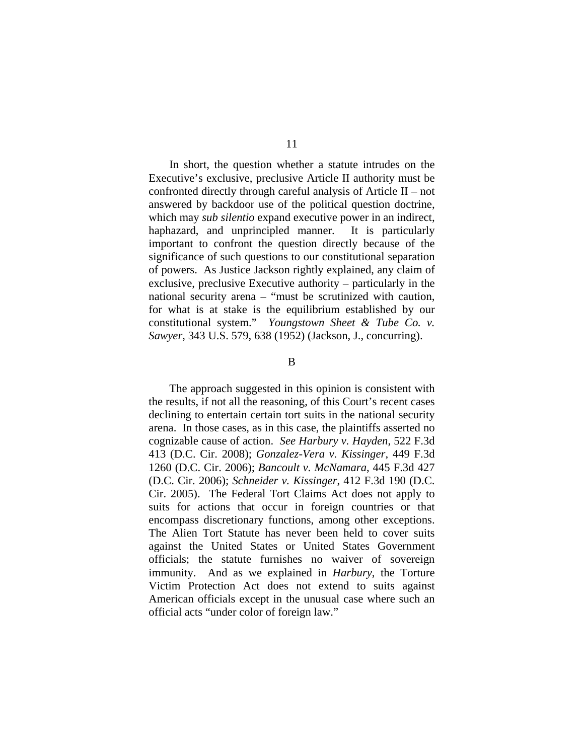In short, the question whether a statute intrudes on the Executive's exclusive, preclusive Article II authority must be confronted directly through careful analysis of Article II – not answered by backdoor use of the political question doctrine, which may *sub silentio* expand executive power in an indirect, haphazard, and unprincipled manner. It is particularly important to confront the question directly because of the significance of such questions to our constitutional separation of powers. As Justice Jackson rightly explained, any claim of exclusive, preclusive Executive authority – particularly in the national security arena – "must be scrutinized with caution, for what is at stake is the equilibrium established by our constitutional system." *Youngstown Sheet & Tube Co. v. Sawyer*, 343 U.S. 579, 638 (1952) (Jackson, J., concurring).

B

The approach suggested in this opinion is consistent with the results, if not all the reasoning, of this Court's recent cases declining to entertain certain tort suits in the national security arena. In those cases, as in this case, the plaintiffs asserted no cognizable cause of action. *See Harbury v. Hayden*, 522 F.3d 413 (D.C. Cir. 2008); *Gonzalez-Vera v. Kissinger*, 449 F.3d 1260 (D.C. Cir. 2006); *Bancoult v. McNamara*, 445 F.3d 427 (D.C. Cir. 2006); *Schneider v. Kissinger*, 412 F.3d 190 (D.C. Cir. 2005). The Federal Tort Claims Act does not apply to suits for actions that occur in foreign countries or that encompass discretionary functions, among other exceptions. The Alien Tort Statute has never been held to cover suits against the United States or United States Government officials; the statute furnishes no waiver of sovereign immunity. And as we explained in *Harbury*, the Torture Victim Protection Act does not extend to suits against American officials except in the unusual case where such an official acts "under color of foreign law."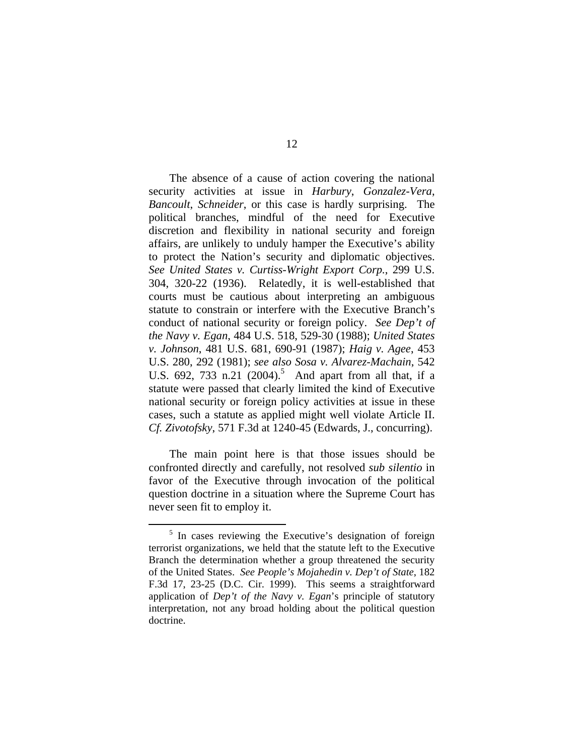The absence of a cause of action covering the national security activities at issue in *Harbury*, *Gonzalez-Vera*, *Bancoult*, *Schneider*, or this case is hardly surprising. The political branches, mindful of the need for Executive discretion and flexibility in national security and foreign affairs, are unlikely to unduly hamper the Executive's ability to protect the Nation's security and diplomatic objectives. *See United States v. Curtiss-Wright Export Corp.*, 299 U.S. 304, 320-22 (1936). Relatedly, it is well-established that courts must be cautious about interpreting an ambiguous statute to constrain or interfere with the Executive Branch's conduct of national security or foreign policy. *See Dep't of the Navy v. Egan*, 484 U.S. 518, 529-30 (1988); *United States v. Johnson*, 481 U.S. 681, 690-91 (1987); *Haig v. Agee*, 453 U.S. 280, 292 (1981); *see also Sosa v. Alvarez-Machain*, 542 U.S.  $692$ ,  $733$  n.21  $(2004)^5$  And apart from all that, if a statute were passed that clearly limited the kind of Executive national security or foreign policy activities at issue in these cases, such a statute as applied might well violate Article II. *Cf. Zivotofsky*, 571 F.3d at 1240-45 (Edwards, J., concurring).

The main point here is that those issues should be confronted directly and carefully, not resolved *sub silentio* in favor of the Executive through invocation of the political question doctrine in a situation where the Supreme Court has never seen fit to employ it.

 $rac{1}{5}$  $\frac{5}{10}$  In cases reviewing the Executive's designation of foreign terrorist organizations, we held that the statute left to the Executive Branch the determination whether a group threatened the security of the United States. *See People's Mojahedin v. Dep't of State*, 182 F.3d 17, 23-25 (D.C. Cir. 1999). This seems a straightforward application of *Dep't of the Navy v. Egan*'s principle of statutory interpretation, not any broad holding about the political question doctrine.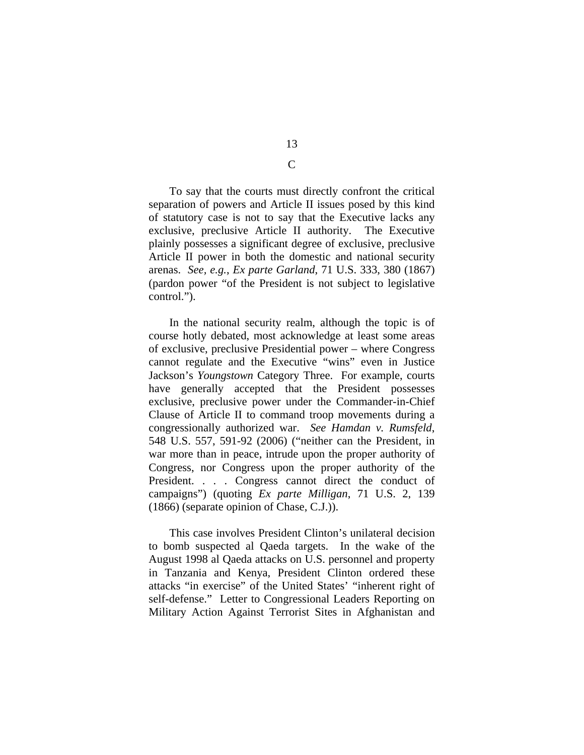To say that the courts must directly confront the critical separation of powers and Article II issues posed by this kind of statutory case is not to say that the Executive lacks any exclusive, preclusive Article II authority. The Executive plainly possesses a significant degree of exclusive, preclusive Article II power in both the domestic and national security arenas. *See, e.g.*, *Ex parte Garland*, 71 U.S. 333, 380 (1867) (pardon power "of the President is not subject to legislative control.").

In the national security realm, although the topic is of course hotly debated, most acknowledge at least some areas of exclusive, preclusive Presidential power – where Congress cannot regulate and the Executive "wins" even in Justice Jackson's *Youngstown* Category Three. For example, courts have generally accepted that the President possesses exclusive, preclusive power under the Commander-in-Chief Clause of Article II to command troop movements during a congressionally authorized war. *See Hamdan v. Rumsfeld*, 548 U.S. 557, 591-92 (2006) ("neither can the President, in war more than in peace, intrude upon the proper authority of Congress, nor Congress upon the proper authority of the President. . . . Congress cannot direct the conduct of campaigns") (quoting *Ex parte Milligan*, 71 U.S. 2, 139 (1866) (separate opinion of Chase, C.J.)).

This case involves President Clinton's unilateral decision to bomb suspected al Qaeda targets. In the wake of the August 1998 al Qaeda attacks on U.S. personnel and property in Tanzania and Kenya, President Clinton ordered these attacks "in exercise" of the United States' "inherent right of self-defense." Letter to Congressional Leaders Reporting on Military Action Against Terrorist Sites in Afghanistan and

13

C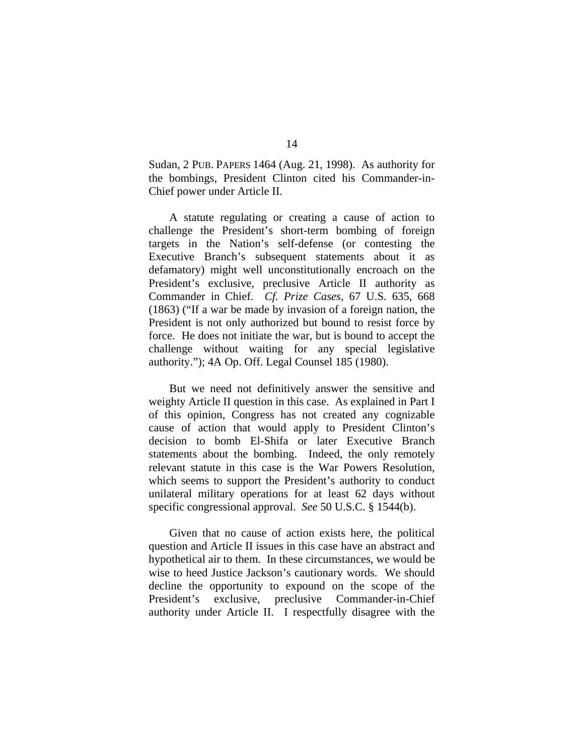Sudan, 2 PUB. PAPERS 1464 (Aug. 21, 1998). As authority for the bombings, President Clinton cited his Commander-in-Chief power under Article II.

A statute regulating or creating a cause of action to challenge the President's short-term bombing of foreign targets in the Nation's self-defense (or contesting the Executive Branch's subsequent statements about it as defamatory) might well unconstitutionally encroach on the President's exclusive, preclusive Article II authority as Commander in Chief. *Cf. Prize Cases*, 67 U.S. 635, 668 (1863) ("If a war be made by invasion of a foreign nation, the President is not only authorized but bound to resist force by force. He does not initiate the war, but is bound to accept the challenge without waiting for any special legislative authority."); 4A Op. Off. Legal Counsel 185 (1980).

But we need not definitively answer the sensitive and weighty Article II question in this case. As explained in Part I of this opinion, Congress has not created any cognizable cause of action that would apply to President Clinton's decision to bomb El-Shifa or later Executive Branch statements about the bombing. Indeed, the only remotely relevant statute in this case is the War Powers Resolution, which seems to support the President's authority to conduct unilateral military operations for at least 62 days without specific congressional approval. *See* 50 U.S.C. § 1544(b).

Given that no cause of action exists here, the political question and Article II issues in this case have an abstract and hypothetical air to them. In these circumstances, we would be wise to heed Justice Jackson's cautionary words. We should decline the opportunity to expound on the scope of the President's exclusive, preclusive Commander-in-Chief authority under Article II. I respectfully disagree with the